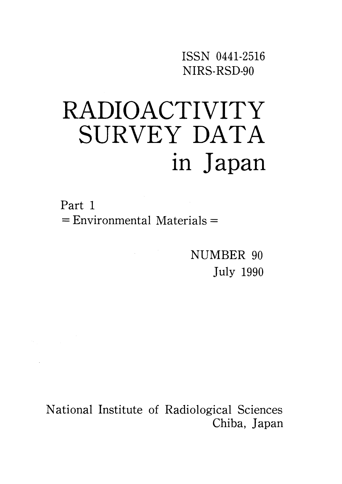ISSN O441・2516 NIRS-RSD-90

# RADIOACTIVITY SURVEY DATA in Japan

Part 1  $=$  Environmental Materials  $=$ 

 $\label{eq:2.1} \frac{1}{\sqrt{2\pi}}\int_{\mathbb{R}^3} \frac{1}{\sqrt{2\pi}}\left(\frac{1}{\sqrt{2\pi}}\right)^2 \frac{1}{\sqrt{2\pi}}\int_{\mathbb{R}^3} \frac{1}{\sqrt{2\pi}}\left(\frac{1}{\sqrt{2\pi}}\right)^2 \frac{1}{\sqrt{2\pi}}\frac{1}{\sqrt{2\pi}}\frac{1}{\sqrt{2\pi}}\frac{1}{\sqrt{2\pi}}\frac{1}{\sqrt{2\pi}}\frac{1}{\sqrt{2\pi}}\frac{1}{\sqrt{2\pi}}\frac{1}{\sqrt{2\pi}}\frac{1}{\sqrt$ 

NUMBER 90 July 1990

National Institute of Radiological Sciences Chiba, Japan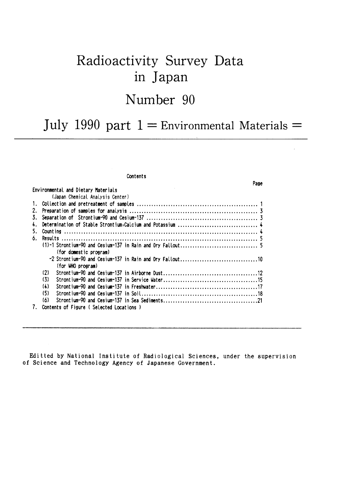# Radioactivity Survey Data in Japan Number 90

# July 1990 part  $1 =$  Environmental Materials =

Page

#### Contents

#### Environmental and Dietary Materials (Japan Chemical Analysis Center) (for domestic program) (for WHO program)  $(2)$  $(3)$  $(4)$  $(5)$  $(6)$ 7. Contents of Figure (Selected Locations)

Editted by National Institute of Radiological Sciences, under the supervision of Science and Technology Agency of Japanese Government.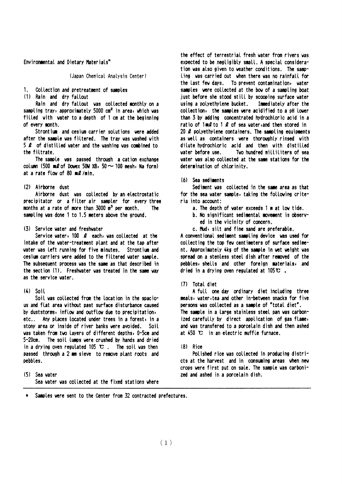Environmental and Dietary Materials\*

(Japan Chemical Analysis Center)

- $1 \quad$ Collection and pretreatment of samples
- (1) Rain and dry fallout

Rain and dry fallout was collected monthly on a sampling tray, approximately 5000 cm<sup>2</sup> in area, which was filled with water to a depth of 1 cm at the beginning of every month

Strontium and cesium carrier solutions were added after the sample was filtered. The tray was washed with 5  $\ell$  of distilled vater and the vashing vas combined to the filtrate.

The sample was passed through a cation exchange column (500 ml of Dowex 50W  $\times$ 8, 50  $\sim$  100 mesh, Na form) at a rate flow of 80 ml/min.

#### (2) Airborne dust

Airborne dust was collected by an electrostatic precipitator or a filter air sampler for every three months at a rate of more than 3000  $m<sup>3</sup>$  per month. **The** sampling was done 1 to 1.5 meters above the ground.

#### (3) Service water and freshwater

Service water,  $100 \, \ell$  each, was collected at the intake of the water-treatment plant and at the tap after water was left running for five minutes. Strontium and cesium carriers were added to the filtered water sample. The subsequent process was the same as that described in the section (1). Freshwater was treated in the same way as the service water.

#### $(4)$  Soil

Soil was collected from the location in the spacious and flat area without past surface disturbance caused by duststorms, inflow and outflow due to precipitation, etc.. Any places located under trees in a forest, in a stony area or inside of river banks were avoided. Soil was taken from two layers of different depths, 0-5cm and 5-20cm. The soil lumps were crushed by hands and dried in a drying oven regulated 105  $\mathbb{C}$ . The soil was then passed through a 2 mm sieve to remove plant roots and pebbles.

(5) Sea vater Sea water was collected at the fixed stations where the effect of terrestrial fresh water from rivers was expected to be negligibly small. A special consideration was also given to weather conditions. The sampling was carried out when there was no rainfall for the last few days. To prevent contamination, water samples were collected at the bow of a sampling boat just before she stood still by scooping surface water using a polyethylene bucket. Immediately after the collection, the samples were acidified to a pH lower than 3 by adding concentrated hydrochloric acid in a ratio of 1ml to 1 l of sea water, and then stored in 20  $\ell$  polyethylene containers. The sampling equipments as well as containers were thoroughly rinsed with dilute hydrochloric acid and then with distilled vater before use. Two hundred milliliters of sea water was also collected at the same stations for the determination of chlorinity.

#### (6) Sea sediments

Sediment was collected in the same area as that for the sea vater sample, taking the following criteria into account:

- a. The depth of water exceeds 1 m at low tide.
- b. No significant sedimental movement is observed in the vicinity of concern.
- c. Mud, silt and fine sand are preferable.

A conventional sediment sampling device was used for collecting the top few centimeters of surface sediment. Approximately 4kg of the sample in wet weight was spread on a stenless steel dish after removed of the pebbles, shells and other foreign materials, and dried in a drying oven regulated at  $105^\circ \text{C}$ .

#### (7) Total diet

A full one day ordinary diet including three meals, water, tea and other in-between snacks for five persons was collected as a sample of "total diet". The sample in a large stainless steel pan was carbonized carefully by direct application of gas flame, and was transfered to a porcelain dish and then ashed at  $450 \, \text{C}$  in an electric muffle furnace.

#### $(8)$  Rice

Polished rice was collected in producing districts at the harvest and in consuming areas when new crops were first put on sale. The sample was carbonized and ashed in a porcelain dish.

Samples were sent to the Center from 32 contracted prefectures.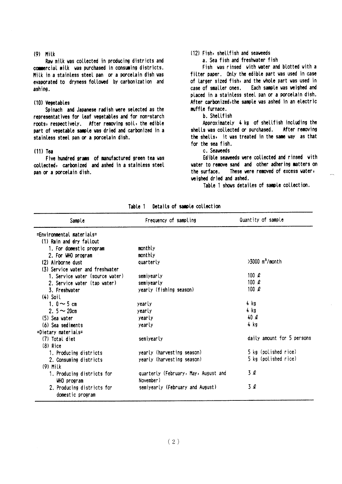#### $(9)$  Milk

Raw milk was collected in producing districts and commercial milk was purchased in consuming districts. Milk in a stainless steel pan or a porcelain dish was evaporated to dryness followed by carbonization and ashing.

#### (10) Vegetables

Spinach and Japanese radish were selected as the representatives for leaf vegetables and for non-starch roots, respectively. After removing soil, the edible part of vegetable sample was dried and carbonized in a stainless steel pan or a porcelain dish.

#### $(11)$  Tea

Five hundred grams of manufactured green tea was collected, carbonized and ashed in a stainless steel pan or a porcelain dish.

#### (12) Fish, shellfish and seaweeds

a. Sea fish and freshwater fish

Fish was rinsed with water and blotted with a filter paper. Only the edible part was used in case of larger sized fish, and the whole part was used in Each sample was weighed and case of smaller ones. placed in a stainless steel pan or a porcelain dish. After carbonized, the sample was ashed in an electric muffle furnace.

#### b. Shellfish

Approximately 4 kg of shellfish including the shells was collected or purchased. After removing the shells, it was treated in the same way as that for the sea fish.

#### c. Seaweeds

Edible seaveeds were collected and rinsed with water to remove sand and other adhering matters on These were removed of excess water, the surface. weighed dried and ashed.

Table 1 shows detailes of sample collection.

| Sample                                         | Frequency of sampling                             | Quantity of sample            |
|------------------------------------------------|---------------------------------------------------|-------------------------------|
| =Environmental materials=                      |                                                   |                               |
| (1) Rain and dry fallout                       |                                                   |                               |
| 1. For domestic program                        | monthly                                           |                               |
| 2. For WHO program                             | monthly                                           |                               |
| (2) Airborne dust                              | quarterly                                         | $>3000$ m <sup>3</sup> /month |
| (3) Service water and freshwater               |                                                   |                               |
| 1. Service water (source water)                | semiyearly                                        | 100 $\ell$                    |
| 2. Service vater (tap vater)                   | semiyearly                                        | 100 $\rho$                    |
| 3. Freshvater                                  | yearly (fishing season)                           | 100 $\ell$                    |
| $(4)$ Soil                                     |                                                   |                               |
| 1. $0 \sim 5$ cm                               | yearly                                            | 4 kg                          |
| 2. $5 - 20$ cm                                 | yearly                                            | 4 kg                          |
| (5) Sea vater                                  | yearly                                            | 40Q                           |
| (6) Sea sediments                              | yearly                                            | 4 kg                          |
| =Dietary materials=                            |                                                   |                               |
| (7) Total diet                                 | semiyearly                                        | daily amount for 5 persons    |
| $(8)$ Rice                                     |                                                   |                               |
| 1. Producing districts                         | yearly (harvesting season)                        | 5 kg (polished rice)          |
| 2. Consuming districts                         | yearly (harvesting season)                        | 5 kg (polished rice)          |
| $(9)$ Milk                                     |                                                   |                               |
| 1. Producing districts for<br>WHO program      | quarterly (February, May, August and<br>November) | 3 l                           |
| 2. Producing districts for<br>domestic program | semiyearly (February and August)                  | 3 l                           |

Table 1 Details of sample collection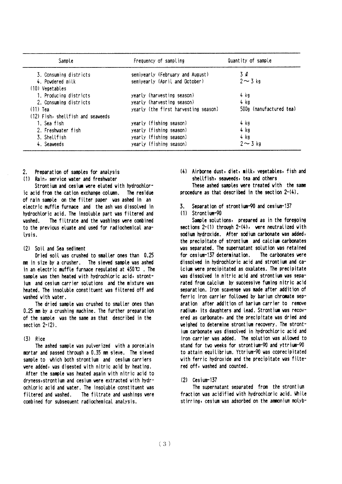| Sample                            | Frequency of sampling                | Quantity of sample      |
|-----------------------------------|--------------------------------------|-------------------------|
| 3. Consuming districts            | semiyearly (February and August)     | 3 Q                     |
| 4. Povdered milk                  | semiyearly (April and October)       | $2 \sim 3$ kg           |
| (10) Vegetables                   |                                      |                         |
| 1. Producing districts            | yearly (harvesting season)           | 4 kg                    |
| 2. Consuming districts            | yearly (harvesting season)           | 4 kg                    |
| $(11)$ Tea                        | yearly (the first harvesting season) | 500g (manufactured tea) |
| (12) Fish, shellfish and seaveeds |                                      |                         |
| 1. Sea fish                       | yearly (fishing season)              | 4 kg                    |
| 2. Freshvater fish                | yearly (fishing season)              | 4 kg                    |
| 3. Shellfish                      | yearly (fishing season)              | 4 kg                    |
| 4. Seaveeds                       | yearly (fishing season)              | $2 \sim 3$ kg           |

- Preparation of samples for analysis  $2.$
- (1) Rain, service water and freshwater

Strontium and cesium were eluted with hydrochloric acid from the cation exchange column. The residue of rain sample on the filter paper was ashed in an electric muffle furnace and the ash was dissolved in hydrochloric acid. The insoluble part was filtered and vashed The filtrate and the washings were combined to the previous eluate and used for radiochemical analysis.

#### (2) Soil and Sea sediment

Dried soil was crushed to smaller ones than 0.25 mm in size by a crusher. The sieved sample was ashed in an electric muffle furnace regulated at  $450 \, \text{C}$ . The sample was then heated with hydrochloric acid, strontjum and cesium carrier solutions and the mixture was heated. The insoluble constituent was filtered off and washed with water.

The dried sample was crushed to smaller ones than 0.25 mm by a crushing machine. The further preparation of the sample was the same as that described in the section  $2-(2)$ .

#### $(3)$  Rice

The ashed sample was pulverized with a porcelain mortar and passed through a 0.35 mm sieve. The sieved sample to which both strontium and cesium carriers were added, was digested with nitric acid by heating. After the sample was heated again with nitric acid to dryness, strontium and cesium were extracted with hydrochloric acid and water. The insoluble constituent was filtered and washed. The filtrate and washings were combined for subsequent radiochemical analysis.

(4) Airborne dust, diet, milk, vegetables, fish and shellfish, seaveeds, tea and others

These ashed samples were treated with the same procedure as that described in the section 2-(4).

Separation of strontium-90 and cesium-137 3.

#### $(1)$  Strontium-90

Sample solutions, prepared as in the foregoing sections 2-(1) through 2-(4), were neutralized with sodium hydroxide. After sodium carbonate was added, the precipitate of strontium and calcium carbonates was separated. The supernatant solution was retained for cesium-137 determination. The carbonates were dissolved in hydrochloric acid and strontium and ca-Icium were precipitated as oxalates. The precipitate was dissolved in nitric acid and strontium was separated from calcium by successive fuming nitric acid separation. Iron scavenge was made after addition of ferric iron carrier followed by barium chromate separation after addition of barium carrier to remove radium, its daughters and lead. Strontium was recovered as carbonate, and the precipitate was dried and weighed to determine strontium recovery. The strontjum carbonate was dissolved in hydrochloric acid and iron carrier was added. The solution was allowed to stand for two weeks for strontium-90 and yttrium-90 to attain equilibrium. Yttrium-90 was coprecipitated with ferric hydroxide and the precipitate was filtered off, washed and counted.

#### $(2)$  Cesium-137

The supernatant separated from the strontium fraction was acidified with hydrochloric acid. While stirring, cesium was adsorbed on the ammonium molyb-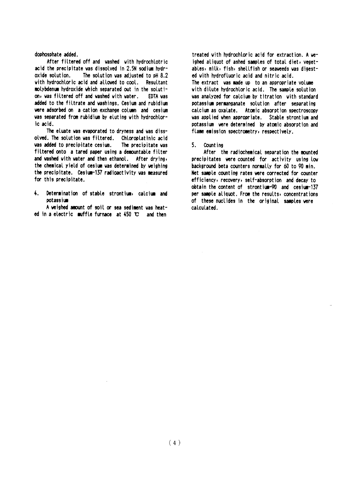#### dophosphate added.

After filtered off and vashed with hydrochlotric acid the precipitate was dissolved in 2.5N sodium hydroxide solution. The solution was adjusted to pH 8.2 with hydrochloric acid and allowed to cool. Resultant molybdenum hydroxide which separated out in the solution, was filtered off and washed with water. EDTA was added to the filtrate and washings. Cesium and rubidium were adsorbed on a cation exchange column and cesium was separated from rubidium by eluting with hydrochloric acid.

The eluate was evaporated to dryness and was dissolved. The solution was filtered. Chloroplatinic acid was added to precipitate cesium. The precipitate vas filtered onto a tared paper using a demountable filter and washed with water and then ethanol. After drying, the chemical yield of cesium was determined by weighing the precipitate. Cesium-137 radioactivity was measured for this precipitate.

 $\ddot{\bullet}$ . Determination of stable strontium, calcium and potassium

A veighed amount of soil or sea sediment was heated in a electric muffle furnace at 450 °C and then

treated with hydrochloric acid for extraction. A weighed aliquot of ashed samples of total diet, vegetables, milk, fish, shellfish or seaveeds was digested with hydrofluoric acid and nitric acid. The extract was made up to an appropriate volume with dilute hydrochloric acid. The sample solution was analyzed for calcium by titration with standard potassium permanganate solution after separating calcium as oxalate. Atomic absorption spectroscopy was applied when appropriate. Stable strontium and potassium were determined by atomic absorption and flame emission spectrometry, respectively.

#### $5.$ Count ing

After the radiochemical separation the mounted precipitates were counted for activity using low background beta counters normally for 60 to 90 min. Net sample counting rates were corrected for counter efficiency, recovery, self-absorption and decay to obtain the content of strontium-90 and cesium-137 per sample aliquot. From the results, concentrations of these nuclides in the original samples vere calculated.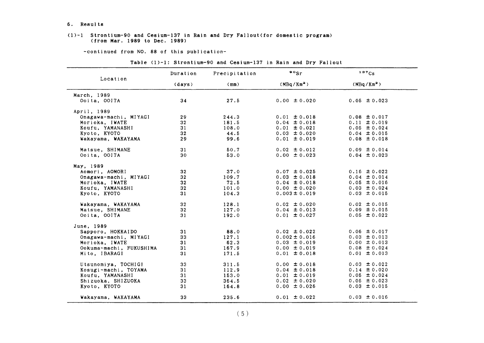#### 6. Re8ult8

#### $(1)-1$  Strontium-90 and Cesium-137 in Rain and Dry Fallout(for domestic program) (from Mar,1989 to Dec.1989)

-continued from NO. 88 of this publication-

| Table (1)-1: Strontium-90 and Cesium-137 in Rain and Dry Fallout |  |
|------------------------------------------------------------------|--|
|------------------------------------------------------------------|--|

|                         | Duration        | $\bullet \circ$ <sub>Sr</sub><br>137Cs<br>Precipitation |                        |                        |
|-------------------------|-----------------|---------------------------------------------------------|------------------------|------------------------|
| Location                | (days)          | (mm)                                                    | (MBq/Km <sup>2</sup> ) | (MBq/Km <sup>2</sup> ) |
| March, 1989             |                 |                                                         |                        |                        |
| Ooita, OOITA            | 34              | 27.5                                                    | $0.00 \pm 0.020$       | $0.05 \pm 0.023$       |
| April, 1989             |                 |                                                         |                        |                        |
| Onagawa-machi, MIYAGI   | 29              | 244.3                                                   | $0.01 \pm 0.018$       | $0.08 \pm 0.017$       |
| Morioka, IWATE          | 32              | 181.5                                                   | $0.04 \pm 0.018$       | $0.11 \pm 0.019$       |
| Koufu, YAMANASHI        | 31              | 108.0                                                   | $0.01 \pm 0.021$       | $0.05 \pm 0.024$       |
| Kyoto, KYOTO            | 32              | 44.5                                                    | $0.03 \pm 0.020$       | $0.04 \pm 0.015$       |
| Wakayama, WAKAYAMA      | 29              | 99.6                                                    | $0.01 \pm 0.019$       | $0.08 \pm 0.018$       |
| Matsue, SHIMANE         | 31              | 50.7                                                    | $0.02 \pm 0.012$       | $0.09 \pm 0.014$       |
| Ooita, OOITA            | 30              | 53.0                                                    | $0.00 \pm 0.023$       | $0.04 \pm 0.023$       |
| May, 1989               |                 |                                                         |                        |                        |
| Aomori, AOMORI          | 32 <sub>2</sub> | 37.0                                                    | $0.07 \pm 0.025$       | $0.16 \pm 0.022$       |
| Onagawa-machi, MIYAGI   | 32 <sub>2</sub> | 109.7                                                   | $0.03 \pm 0.018$       | $0.04 \pm 0.014$       |
| Morioka, IWATE          | 32              | 72.5                                                    | $0.04 \pm 0.018$       | $0.05 \pm 0.016$       |
| Koufu. YAMANASHI        | 32              | 101.0                                                   | $0.00 \pm 0.020$       | $0.03 \pm 0.024$       |
| Kyoto, KYOTO            | 31              | 104.3                                                   | $0.003 \pm 0.019$      | $0.03 \pm 0.015$       |
| Wakayama, WAKAYAMA      | 32 <sub>2</sub> | 128.1                                                   | $0.02 \pm 0.020$       | $0.02 \pm 0.015$       |
| Matsue, SHIMANE         | 32 <sub>2</sub> | 127.0                                                   | $0.04 \pm 0.013$       | $0.09 \pm 0.015$       |
| Ooita, OOITA            | 31              | 192.0                                                   | $0.01 \pm 0.027$       | $0.05 \pm 0.022$       |
| June, 1989              |                 |                                                         |                        |                        |
| Sapporo, HOKKAIDO       | 31              | 88.0                                                    | $0.02 \pm 0.022$       | $0.06 \pm 0.017$       |
| Onagawa-machi, MIYAGI   | 33              | 127.1                                                   | $0.002 \pm 0.016$      | $0.03 \pm 0.013$       |
| Morioka, IWATE          | 31              | 62.3                                                    | $0.03 \pm 0.019$       | $0.00 \pm 0.013$       |
| Ookuma-machi, FUKUSHIMA | 31              | 167.9                                                   | $0.00 \pm 0.019$       | $0.08 \pm 0.024$       |
| Mito, IBARAGI           | 31              | 171.5                                                   | $0.01 \pm 0.018$       | $0.01 \pm 0.013$       |
| Utsunomiya, TOCHIGI     | 33              | 311.5                                                   | $0.00 \pm 0.018$       | $0.03 \pm 0.022$       |
| Kosugi-machi, TOYAMA    | 31              | 112.9                                                   | $0.04 \pm 0.018$       | $0.14 \pm 0.020$       |
| Koufu, YAMANASHI        | 31              | 153.0                                                   | $0.01 \pm 0.019$       | $0.05 \pm 0.024$       |
| Shizuoka, SHIZUOKA      | 33              | 364.5                                                   | $0.02 \pm 0.020$       | $0.05 \pm 0.023$       |
| Kyoto, KYOTO            | 31              | 164.8                                                   | $0.00 \pm 0.026$       | $0.03 \pm 0.015$       |
| Wakayama, WAKAYAMA      | 33              | 235.6                                                   | $0.01 \pm 0.022$       | $0.03 \pm 0.016$       |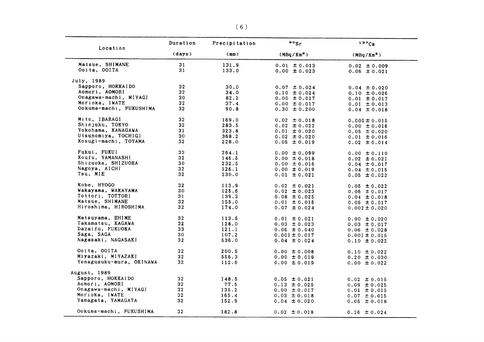| Location                 | Duration        | Precipitation  | $\cdot \cdot$ sr                     | 137Cg                                 |
|--------------------------|-----------------|----------------|--------------------------------------|---------------------------------------|
|                          | (days)          | (mm)           | (MBq/Km <sup>2</sup> )               | (MBq/Km <sup>2</sup> )                |
| Matsue, SHIMANE          | 31              | 131.9          | $0.01 \pm 0.013$                     | $0.02 \pm 0.009$                      |
| Ooita, OOITA             | 31              | 133.0          | $0.00 \pm 0.023$                     | $0.06 \pm 0.021$                      |
| July, 1989               |                 |                |                                      |                                       |
| Sapporo, HOKKAIDO        | 32 <sub>2</sub> | 30.0           | $0.07 \pm 0.024$                     | $0.04 \pm 0.020$                      |
| Aomori, AOMORI           | 32 <sub>2</sub> | 34.0           | $0.10 \pm 0.024$                     | $0.10 \pm 0.026$                      |
| Onagawa-machi, MIYAGI    | 30              | 82.2           | $0.00 \pm 0.017$                     | $0.01 \pm 0.017$                      |
| Morioka, IWATE           | 32              | 37.4           | $0.00 \pm 0.017$                     | $0.01 \pm 0.013$                      |
| Ookuma-machi, FUKUSHIMA  | 32              | 90.8           | $0.30 \pm 0.200$                     | $0.04 \pm 0.018$                      |
| Mito, IBARAGI            | 32 <sub>2</sub> | 169.0          | $0.02 \pm 0.018$                     | $0.005 \pm 0.015$                     |
| Shinjuku, TOKYO          | 32 <sub>2</sub> | 283.5          | $0.02 \pm 0.022$                     | $0.00 \pm 0.016$                      |
| Yokohama, KANAGAWA       | 31              | 323.8          | $0.01 \pm 0.020$                     | $0.05 \pm 0.020$                      |
| Utsunomiya, TOCHIGI      | 30              | 368.2          | $0.02 \pm 0.020$                     | $0.01 \pm 0.016$                      |
| Kosugi-machi, TOYAMA     | 32              | 228.0          | $0.05 \pm 0.019$                     | $0.02 \pm 0.014$                      |
| Fukui, FUKUI             | 33              | 264.1          | $0.00 \pm 0.099$                     |                                       |
| Koufu, YAMANASHI         | 32              | 146.5          | $0.00 \pm 0.018$                     | $0.00 \pm 0.110$                      |
| Shizuoka, SHIZUOKA       | 30              | 232.5          | $0.00 \pm 0.016$                     | $0.02 \pm 0.021$                      |
| Nagoya, AICHI            | 32              | 126.1          | $0.00 \pm 0.019$                     | $0.04 \pm 0.017$                      |
| Tsu, MIE                 | 32              | 230.0          | $0.01 \pm 0.021$                     | $0.04 \pm 0.015$<br>$0.05 \pm 0.022$  |
| Kobe, HYOGO              | 32              | 113.9          | $0.02 \pm 0.021$                     |                                       |
| Wakayama, WAKAYAMA       | 30              | 125.6          | $0.02 \pm 0.023$                     | $0.05 \pm 0.022$                      |
| Tottori, TOTTORI         | 31              | 139.3          | $0.08 \pm 0.025$                     | $0.06 \pm 0.017$<br>$0.04 \pm 0.018$  |
| Matsue, SHIMANE          | 32              | 155.0          | $0.01 \pm 0.015$                     | $0.05 \pm 0.017$                      |
| Hiroshima, HIROSHIMA     | 32 <sub>2</sub> | 174.0          | $0.07 \pm 0.024$                     | $0.002 \pm 0.020$                     |
| Matsuyama, EHIME         | 32 <sub>2</sub> | 113.5          | $0.01 \pm 0.021$                     |                                       |
| Takamatsu, KAGAWA        | 32              | 128.0          | $0.03 \pm 0.023$                     | $0.00 \pm 0.020$                      |
| Dazaifu, FUKUOKA         | 33              | 121.1          | $0.06 \pm 0.040$                     | $0.03 \pm 0.017$                      |
| Saga, SAGA               | 30              | 107.2          | $0.001 \pm 0.017$                    | $0.06 \pm 0.028$                      |
| Nagasaki, NAGASAKI       | 32              | 536.0          | $0.04 \pm 0.024$                     | $0.001 \pm 0.015$<br>$0.10 \pm 0.022$ |
| Ooita, OOITA             | 32 <sub>2</sub> | 200.5          | $0.00 \pm 0.008$                     |                                       |
| Miyazaki, MIYAZAKI       | 32 <sub>2</sub> | 556.3          | $0.00 \pm 0.019$                     | $0.10 \pm 0.022$<br>$0.20 \pm 0.030$  |
| Yonagusuku-mura, OKINAWA | 32              | 112.5          | $0.00 \pm 0.019$                     | $0.00 \pm 0.022$                      |
| August, 1989             |                 |                |                                      |                                       |
| Sapporo, HOKKAIDO        | 32 <sub>2</sub> |                |                                      |                                       |
| Aomori, AOMORI           | 32 <sub>2</sub> | 148.5          | $0.05 \pm 0.021$                     | $0.02 \pm 0.015$                      |
| Onagawa-machi, MIYAGI    | 32              | 77.5           | $0.13 \pm 0.025$                     | $0.09 \pm 0.025$                      |
| Morioka, IWATE           | 32              | 135.2<br>165.4 | $0.00 \pm 0.017$                     | $0.01 \pm 0.015$                      |
| Yamagata, YAMAGATA       | 32              | 152.9          | $0.03 \pm 0.018$<br>$0.04 \pm 0.020$ | $0.07 \pm 0.015$<br>$0.05 \pm 0.018$  |
| Ookuma-machi, FUKUSHIMA  | 32              | 182.8          | $0.02 \pm 0.018$                     | $0.16 \pm 0.024$                      |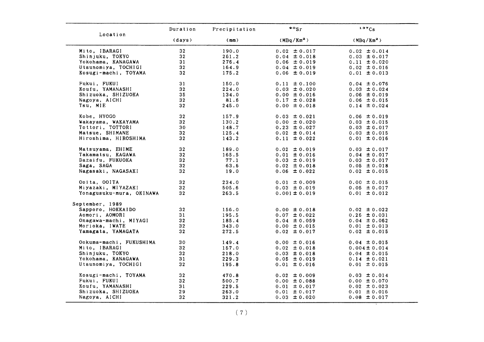|                          | Duration        | Precipitation | $\bullet \circ$ Sr     | 137Cs                  |
|--------------------------|-----------------|---------------|------------------------|------------------------|
| Location                 | (days)          | (mm)          | (MBq/Km <sup>2</sup> ) | (MBa/Km <sup>2</sup> ) |
| Mito, IBARAGI            | 32              | 190.0         | $0.02 \pm 0.017$       | $0.02 \pm 0.014$       |
| Shinjuku, TOKYO          | 32 <sub>2</sub> | 261.2         | $0.04 \pm 0.018$       | $0.03 \pm 0.017$       |
| Yokohama, KANAGAWA       | 31              | 276.4         | $0.06 \pm 0.019$       | $0.11 \pm 0.020$       |
| Utsunomiya, TOCHIGI      | 32 <sub>2</sub> | 164.9         | $0.04 \pm 0.019$       | $0.02 \pm 0.016$       |
| Kosugi-machi, TOYAMA     | 32              | 175.2         | $0.06 \pm 0.019$       | $0.01 \pm 0.013$       |
| Fukui, FUKUI             | 31              | 150.0         | $0.11 \pm 0.100$       | $0.04 \pm 0.076$       |
| Koufu, YAMANASHI         | 32              | 224.0         | $0.03 \pm 0.020$       | $0.03 \pm 0.024$       |
| Shizuoka, SHIZUOKA       | 35              | 134.0         | $0.00 \pm 0.016$       | $0.06 \pm 0.019$       |
| Nagoya, AICHI            | 32 <sub>2</sub> | 81.6          | $0.17 \pm 0.028$       | $0.06 \pm 0.015$       |
| Tsu, MIE                 | 32              | 245.0         | $0.00 \pm 0.018$       | $0.14 \pm 0.024$       |
| Kobe, HYOGO              | 32              | 157.9         | $0.03 \pm 0.021$       | $0.06 \pm 0.019$       |
| Wakayama, WAKAYAMA       | 32 <sub>2</sub> | 130.2         | $0.00 \pm 0.020$       | $0.03 \pm 0.015$       |
| Tottori, TOTTORI         | 30              | 148.7         | $0.23 \pm 0.027$       | $0.03 \pm 0.017$       |
| Matsue, SHIMANE          | 32 <sub>2</sub> | 125.4         | $0.02 \pm 0.014$       | $0.03 \pm 0.015$       |
| Hiroshima, HIROSHIMA     | 32              | 143.2         | $0.11 \pm 0.022$       | $0.01 \pm 0.016$       |
| Matsuyama, EHIME         | 32              | 189.0         | $0.02 \pm 0.019$       | $0.03 \pm 0.017$       |
| Takamatsu, KAGAWA        | 32 <sub>2</sub> | 165.5         | $0.01 \pm 0.016$       | $0.04 \pm 0.017$       |
| Dazaifu, FUKUOKA         | 32              | 77.1          | $0.03 \pm 0.019$       | $0.03 \pm 0.017$       |
| Saga, SAGA               | 32              | 63.6          | $0.02 \pm 0.018$       | $0.05 \pm 0.018$       |
| Nagasaki, NAGASAKI       | 32 <sub>2</sub> | 19.0          | $0.06 \pm 0.022$       | $0.02 \pm 0.015$       |
| Ooita, OOITA             | 32              | 234.0         | $0.01 \pm 0.009$       | $0.00 \pm 0.015$       |
| Miyazaki, MIYAZAKI       | 32 <sub>2</sub> | 505.6         | $0.03 \pm 0.019$       | $0.05 \pm 0.017$       |
| Yonagusuku-mura, OKINAWA | 32 <sub>2</sub> | 263.5         | $0.001 \pm 0.019$      | $0.01 \pm 0.012$       |
| September, 1989          |                 |               |                        |                        |
| Sapporo, HOKKAIDO        | 32              | 156.0         | $0.00 \pm 0.018$       | $0.02 \pm 0.022$       |
| Aomori, AOMORI           | 31              | 195.5         | $0.07 \pm 0.022$       | $0.26 \pm 0.031$       |
| Onagawa-machi, MIYAGI    | 32              | 185.4         | $0.04 \pm 0.059$       | $0.04 \pm 0.062$       |
| Morioka, IWATE           | 32 <sub>2</sub> | 343.0         | $0.00 \pm 0.015$       | $0.01 \pm 0.013$       |
| Yamagata, YAMAGATA       | 32              | 272.5         | $0.02 \pm 0.017$       | $0.02 \pm 0.015$       |
| Ookuma-machi, FUKUSHIMA  | 30              | 149.4         | $0.00 \pm 0.016$       | $0.04 \pm 0.015$       |
| Mito, IBARAGI            | 32 <sub>2</sub> | 157.0         | $0.02 \pm 0.018$       | $0.004 \pm 0.014$      |
| Shinjuku, TOKYO          | 32              | 218.0         | $0.03 \pm 0.018$       | $0.04 \pm 0.015$       |
| Yokohama, KANAGAWA       | 31              | 229.3         | $0.05 \pm 0.019$       | $0.14 \pm 0.021$       |
| Utsunomiya, TOCHIGI      | 32              | 195.8         | $0.01 \pm 0.016$       | $0.01 \pm 0.015$       |
| Kosugi-machi, TOYAMA     | 32              | 470.8         | $0.02 \pm 0.009$       | $0.03 \pm 0.014$       |
| Fukui, FUKUI             | 32              | 500.7         | $0.00 \pm 0.088$       | $0.00 \pm 0.070$       |
| Koufu, YAMANASHI         | 31              | 229.5         | $0.01 \pm 0.017$       | $0.02 \pm 0.023$       |
| Shizuoka, SHIZUOKA       | 29              | 263.0         | $0.01 \pm 0.017$       | $0.01 \pm 0.016$       |
| Nagoya, AICHI            | 32              | 321.2         | $0.03 \pm 0.020$       | $0.08 \pm 0.017$       |
|                          |                 |               |                        |                        |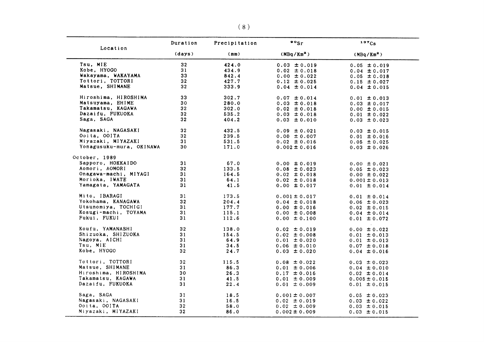| Location                 | Duration        | Precipitation | $\cdot$ $\cdot$ sr                   | 137Cs                                 |
|--------------------------|-----------------|---------------|--------------------------------------|---------------------------------------|
|                          | (days)          | (mm)          | (MBq/Km <sup>2</sup> )               | (MBq/Km <sup>2</sup> )                |
| Tsu, MIE                 | 32              | 424.0         | $0.03 \pm 0.019$                     | $0.05 \pm 0.019$                      |
| Kobe, HYOGO              | 31              | 434.9         | $0.02 \pm 0.018$                     | $0.04 \pm 0.017$                      |
| Wakayama, WAKAYAMA       | 33              | 842.4         | $0.00 \pm 0.022$                     | $0.05 \pm 0.018$                      |
| Tottori, TOTTORI         | 32              | 427.7         | $0.12 \pm 0.025$                     | $0.15 \pm 0.027$                      |
| Matsue, SHIMANE          | 32              | 333.9         | $0.04 \pm 0.014$                     | $0.04 \pm 0.015$                      |
| Hiroshima, HIROSHIMA     | 33              | 302.7         | $0.07 \pm 0.014$                     | $0.01 \pm 0.013$                      |
| Matsuyama, EHIME         | 30              | 280.0         | $0.03 \pm 0.018$                     | $0.03 \pm 0.017$                      |
| Takamatsu, KAGAWA        | 32 <sub>2</sub> | 302.0         | $0.02 \pm 0.018$                     | $0.00 \pm 0.015$                      |
| Dazaifu, FUKUOKA         | 32              | 535.2         | $0.03 \pm 0.018$                     | $0.01 \pm 0.022$                      |
| Saga, SAGA               | 32              | 404.2         | $0.03 \pm 0.010$                     | $0.03 \pm 0.023$                      |
| Nagasaki, NAGASAKI       | 32              | 432.5         | $0.09 \pm 0.021$                     | $0.03 \pm 0.015$                      |
| Ooita, OOITA             | 32              | 239.5         | $0.00 \pm 0.007$                     | $0.01 \pm 0.016$                      |
| Miyazaki, MIYAZAKI       | 31              | 531.5         | $0.02 \pm 0.016$                     | $0.05 \pm 0.025$                      |
| Yonagusuku-mura, OKINAWA | 30              | 171.0         | $0.002 \pm 0.016$                    | $0.03 \pm 0.026$                      |
| October, 1989            |                 |               |                                      |                                       |
| Sapporo, HOKKAIDO        | 31              | 67.0          | $0.00 \pm 0.019$                     | $0.00 \pm 0.021$                      |
| Aomori, AOMORI           | 32              | 133.5         | $0.08 \pm 0.023$                     | $0.05 \pm 0.023$                      |
| Onagawa-machi, MIYAGI    | 31              | 164.5         | $0.02 \pm 0.018$                     | $0.00 \pm 0.022$                      |
| Morioka, IWATE           | 31              | 64.1          | $0.02 \pm 0.018$                     | $0.001 \pm 0.013$                     |
| Yamagata, YAMAGATA       | 31              | 41.5          | $0.00 \pm 0.017$                     | $0.01 \pm 0.014$                      |
| Mito, IBARAGI            | 31              | 173.5         | $0.001 \pm 0.017$                    | $0.01 \pm 0.014$                      |
| Yokohama, KANAGAWA       | 32 <sub>2</sub> | 204.4         | $0.04 \pm 0.018$                     | $0.06 \pm 0.023$                      |
| Utsunomiya, TOCHIGI      | 31              | 177.7         | $0.00 \pm 0.016$                     | $0.02 \pm 0.015$                      |
| Kosugi-machi, TOYAMA     | 31              | 115.1         | $0.00 \pm 0.008$                     | $0.04 \pm 0.014$                      |
| Fukui, FUKUI             | 31              | 112.6         | $0.00 \pm 0.100$                     | $0.01 \pm 0.072$                      |
| Koufu, YAMANASHI         | 32              | 138.0         | $0.02 \pm 0.019$                     | $0.00 \pm 0.022$                      |
| Shizuoka, SHIZUOKA       | 31              | 154.5         | $0.02 \pm 0.008$                     | $0.01 \pm 0.013$                      |
| Nagoya, AICHI            | 31              | 64.9          | $0.01 \pm 0.020$                     | $0.01 \pm 0.013$                      |
| Tsu, MIE                 | 31              | 34.5          | $0.06 \pm 0.010$                     | $0.07 \pm 0.018$                      |
| Kobe, HYOGO              | 32 <sub>2</sub> | 24.7          | $0.03 \pm 0.020$                     | $0.04 \pm 0.016$                      |
| Tottori, TOTTORI         | 32              | 115.5         | $0.08 \pm 0.022$                     | $0.03 \pm 0.023$                      |
| Matsue, SHIMANE          | 31              | 86.3          | $0.01 \pm 0.006$                     | $0.04 \pm 0.010$                      |
| Hiroshima, HIROSHIMA     | 30              | 26.3          | $0.17 \pm 0.016$                     |                                       |
| Takamatsu, KAGAWA        | 31              |               |                                      | $0.02 \pm 0.014$                      |
| Dazaifu, FUKUOKA         | 31              | 41.5<br>22.4  | $0.01 \pm 0.009$<br>$0.01 \pm 0.009$ | $0.005 \pm 0.015$<br>$0.01 \pm 0.015$ |
| Saga, SAGA               | 31              | 18.5          | $0.001 \pm 0.007$                    | $0.05 \pm 0.023$                      |
| Nagasaki, NAGASAKI       | 31              | 16.5          | $0.02 \pm 0.019$                     | $0.03 \pm 0.022$                      |
| Ooita, OOITA             | 32              | 58.0          | $0.02 \pm 0.009$                     | $0.03 \pm 0.015$                      |
| Miyazaki, MIYAZAKI       | 32              | 86.0          | $0.002 \pm 0.009$                    | $0.03 \pm 0.015$                      |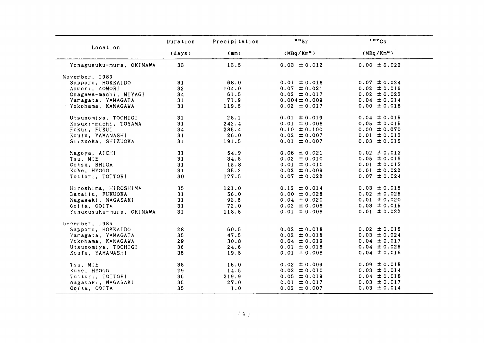|                          | Duration | Precipitation | $\cdot$ $\cdot$ sr     | 137Cs                  |
|--------------------------|----------|---------------|------------------------|------------------------|
| Location                 | (days)   | (mm)          | (MBq/Km <sup>2</sup> ) | (MBq/Km <sup>2</sup> ) |
| Yonagusuku-mura, OKINAWA | 33       | 13.5          | $0.03 \pm 0.012$       | $0.00 \pm 0.023$       |
| November, 1989           |          |               |                        |                        |
| Sapporo, HOKKAIDO        | 31       | 68.0          | $0.01 \pm 0.018$       | $0.07 \pm 0.024$       |
| Aomori, AOMORI           | 32       | 104.0         | $0.07 \pm 0.021$       | $0.02 \pm 0.016$       |
| Onagawa-machi, MIYAGI    | 34       | 61.5          | $0.02 \pm 0.017$       | $0.02 \pm 0.023$       |
| Yamagata, YAMAGATA       | 31       | 71.9          | $0.004 \pm 0.009$      | $0.04 \pm 0.014$       |
| Yokohama, KANAGAWA       | 31       | 119.5         | $0.02 \pm 0.017$       | $0.00 \pm 0.018$       |
| Utsunomiya, TOCHIGI      | 31       | 28.1          | $0.01 \pm 0.019$       | $0.04 \pm 0.015$       |
| Kosugi-machi, TOYAMA     | 31       | 242.4         | $0.01 \pm 0.008$       | $0.05 \pm 0.015$       |
| Fukui, FUKUI             | 34       | 285.4         | $0.10 \pm 0.100$       | $0.00 \pm 0.070$       |
| Koufu, YAMANASHI         | 31       | 26.0          | $0.02 \pm 0.007$       | $0.01 \pm 0.013$       |
| Shizuoka, SHIZUOKA       | 31       | 191.5         | $0.01 \pm 0.007$       | $0.03 \pm 0.015$       |
| Nagoya, AICHI            | 31       | 54.9          | $0.06 \pm 0.021$       | $0.02 \pm 0.013$       |
| Tsu, MIE                 | 31       | 34.5          | $0.02 \pm 0.010$       | $0.05 \pm 0.016$       |
| Ootsu, SHIGA             | 31       | 15.8          | $0.01 \pm 0.010$       | $0.01 \pm 0.013$       |
| Kobe, HYOGO              | 31       | 35.2          | $0.02 \pm 0.009$       | $0.01 \pm 0.022$       |
| Tottori, TOTTORI         | 30       | 177.5         | $0.07 \pm 0.022$       | $0.07 \pm 0.024$       |
| Hiroshima, HIROSHIMA     | 35       | 121.0         | $0.12 \pm 0.014$       | $0.03 \pm 0.015$       |
| Dazaifu, FUKUOKA         | 31       | 56.0          | $0.00 \pm 0.028$       | $0.02 \pm 0.025$       |
| Nagasaki, NAGASAKI       | 31       | 93.5          | $0.04 \pm 0.020$       | $0.01 \pm 0.020$       |
| Ooita, OOITA             | 31       | 72.0          | $0.02 \pm 0.008$       | $0.03 \pm 0.015$       |
| Yonagusuku-mura, OKINAWA | 31       | 118.5         | $0.01 \pm 0.008$       | $0.01 \pm 0.022$       |
| December, 1989           |          |               |                        |                        |
| Sapporo, HOKKAIDO        | 28       | 60.5          | $0.02 \pm 0.018$       | $0.02 \pm 0.016$       |
| Yamagata, YAMAGATA       | 35       | 47.5          | $0.02 \pm 0.018$       | $0.03 \pm 0.024$       |
| Yokohama, KANAGAWA       | 29       | 30.8          | $0.04 \pm 0.019$       | $0.04 \pm 0.017$       |
| Utsunomiya, TOCHIGI      | 36       | 24.6          | $0.01 \pm 0.018$       | $0.04 \pm 0.025$       |
| Koufu, YAMANASHI         | 35       | 19.5          | $0.01 \pm 0.008$       | $0.04 \pm 0.016$       |
| Tsu, MIE                 | 35       | 16.0          | $0.02 \pm 0.009$       | $0.09 \pm 0.018$       |
| Kobe, HYOGO              | 29       | 14.5          | $0.02 \pm 0.010$       | $0.03 \pm 0.014$       |
| Tottori, TOTTORI         | 36       | 219.9         | $0.05 \pm 0.019$       | $0.04 \pm 0.018$       |
| Nagasaki, NAGASAKI       | 35       | 27.0          | $0.01 \pm 0.017$       | $0.03 \pm 0.017$       |
| Opita, OOITA             | 35       | 1.0           | $0.02 \pm 0.007$       | $0.03 \pm 0.014$       |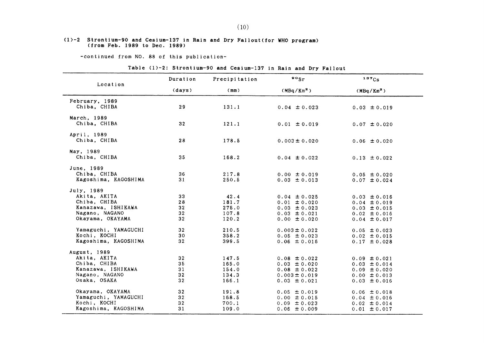#### $(1)-2$  Strontium-90 and Cesium-137 in Rain and Dry Fallout(for WHO program) (from Feb.1989 to Dec.1989)

-continued from NO. 88 of this publication-

### Table (1)-2: Strontium-90 and Cesium-137 in Rain and Dry Fallout

| Location                             | Duration        | Precipitation  | $\frac{80}{5}$                       | 137Cs                                |
|--------------------------------------|-----------------|----------------|--------------------------------------|--------------------------------------|
|                                      | (days)          | (mm)           | (MBq/Km <sup>2</sup> )               | $(MBq/Km^2)$                         |
| February, 1989<br>Chiba, CHIBA       | 29              | 131.1          | $0.04 \pm 0.023$                     | $0.03 \pm 0.019$                     |
| March. 1989<br>Chiba, CHIBA          | 32              | 121.1          | $0.01 \pm 0.019$                     | $0.07 \pm 0.020$                     |
| April, 1989<br>Chiba, CHIBA          | 28              | 178.5          | $0.003 \pm 0.020$                    | $0.06 \pm 0.020$                     |
| May, 1989<br>Chiba, CHIBA            | 35              | 168.2          | $0.04 \pm 0.022$                     | $0.13 \pm 0.022$                     |
| June, 1989                           |                 |                |                                      |                                      |
| Chiba, CHIBA<br>Kagoshima, KAGOSHIMA | 36<br>31        | 217.8<br>250.5 | $0.00 \pm 0.019$<br>$0.03 \pm 0.013$ | $0.05 \pm 0.020$<br>$0.07 \pm 0.024$ |
| July. 1989                           |                 |                |                                      |                                      |
| Akita, AKITA                         | 33              | 42.4           | $0.04 \pm 0.025$                     | $0.03 \pm 0.016$                     |
| Chiba, CHIBA                         | 28              | 181.7          | $0.01 \pm 0.020$                     | $0.04 \pm 0.019$                     |
| Kanazawa, ISHIKAWA                   | 32              | 275.0          | $0.03 \pm 0.023$                     | $0.03 \pm 0.015$                     |
| Nagano, NAGANO                       | 32              | 107.8          | $0.03 \pm 0.021$                     | $0.02 \pm 0.016$                     |
| Okayama, OKAYAMA                     | 32 <sub>2</sub> | 120.2          | $0.00 \pm 0.020$                     | $0.04 \pm 0.017$                     |
| Yamaguchi, YAMAGUCHI                 | 32              | 210.5          | $0.003 \pm 0.022$                    | $0.05 \pm 0.023$                     |
| Kochi, KOCHI                         | 30              | 358.2          | $0.05 \pm 0.023$                     | $0.02 \pm 0.015$                     |
| Kagoshima, KAGOSHIMA                 | 32              | 399.5          | $0.06 \pm 0.016$                     | $0.17 \pm 0.028$                     |
| August, 1989                         |                 |                |                                      |                                      |
| Akita, AKITA                         | 32 <sub>2</sub> | 147.5          | $0.08 \pm 0.022$                     | $0.09 \pm 0.021$                     |
| Chiba, CHIBA                         | 35              | 165.0          | $0.03 \pm 0.020$                     | $0.03 \pm 0.014$                     |
| Kanazawa, ISHIKAWA                   | 31              | 154.0          | $0.08 \pm 0.022$                     | $0.09 \pm 0.020$                     |
| Nagano, NAGANO                       | 32              | 134.3          | $0.003 \pm 0.019$                    | $0.00 \pm 0.013$                     |
| Osaka, OSAKA                         | 32              | 166.1          | $0.03 \pm 0.021$                     | $0.03 \pm 0.016$                     |
| Okayama, OKAYAMA                     | 32 <sub>2</sub> | 191.8          | $0.05 \pm 0.019$                     | $0.06 \pm 0.018$                     |
| Yamaguchi, YAMAGUCHI                 | 32 <sub>2</sub> | 168.5          | $0.00 \pm 0.015$                     | $0.04 \pm 0.016$                     |
| Kochi, KOCHI                         | 32              | 700.1          | $0.09 \pm 0.023$                     | $0.02 \pm 0.014$                     |
| Kagoshima, KAGOSHIMA                 | 31              | 109.0          | $0.06 \pm 0.009$                     | $0.01 \pm 0.017$                     |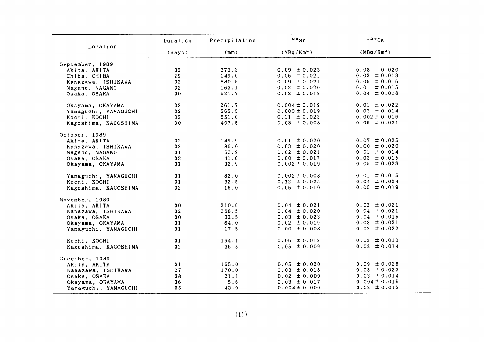| Location             | Duration        | Precipitation | $\bullet \circ$ <sub>Sr</sub> | 137C <sub>S</sub>      |
|----------------------|-----------------|---------------|-------------------------------|------------------------|
|                      | (days)          | (mm)          | (MBq/Km <sup>2</sup> )        | (MBq/Km <sup>2</sup> ) |
| September, 1989      |                 |               |                               |                        |
| Akita, AKITA         | 32 <sub>2</sub> | 373.3         | $0.09 \pm 0.023$              | $0.08 \pm 0.020$       |
| Chiba, CHIBA         | 29              | 149.0         | $0.06 \pm 0.021$              | $0.03 \pm 0.013$       |
| Kanazawa, ISHIKAWA   | 32              | 580.5         | $0.09 \pm 0.021$              | $0.05 \pm 0.016$       |
| Nagano, NAGANO       | 32              | 163.1         | $0.02 \pm 0.020$              | $0.01 \pm 0.015$       |
| Osaka, OSAKA         | 30              | 521.7         | $0.02 \pm 0.019$              | $0.04 \pm 0.018$       |
| Okayama, OKAYAMA     | 32              | 261.7         | $0.004 \pm 0.019$             | $0.01 \pm 0.022$       |
| Yamaguchi, YAMAGUCHI | 32 <sub>2</sub> | 363.5         | $0.003 \pm 0.019$             | $0.03 \pm 0.014$       |
| Kochi, KOCHI         | 32 <sub>2</sub> | 651.0         | $0.11 \pm 0.023$              | $0.002 \pm 0.016$      |
| Kagoshima, KAGOSHIMA | 30 <sub>o</sub> | 407.5         | $0.03 \pm 0.008$              | $0.06 \pm 0.021$       |
| October, 1989        |                 |               |                               |                        |
| Akita, AKITA         | 32 <sub>2</sub> | 149.9         | $0.01 \pm 0.020$              | $0.07 \pm 0.025$       |
| Kanazawa, ISHIKAWA   | 32 <sub>2</sub> | 186.0         | $0.03 \pm 0.020$              | $0.00 \pm 0.020$       |
| Nagano, NAGANO       | 31              | 53.9          | $0.02 \pm 0.021$              | $0.01 \pm 0.014$       |
| Osaka, OSAKA         | 33              | 41.6          | $0.00 \pm 0.017$              | $0.03 \pm 0.015$       |
| Okayama, OKAYAMA     | 31              | 32.9          | $0.002 \pm 0.019$             | $0.05 \pm 0.023$       |
| Yamaguchi, YAMAGUCHI | 31              | 62.0          | $0.002 \pm 0.008$             | $0.01 \pm 0.015$       |
| Kochi, KOCHI         | 31              | 32.5          | $0.12 \pm 0.025$              | $0.04 \pm 0.024$       |
| Kagoshima, KAGOSHIMA | 32              | 16.0          | $0.06 \pm 0.010$              | $0.05 \pm 0.019$       |
| November, 1989       |                 |               |                               |                        |
| Akita, AKITA         | 30              | 210.6         | $0.04 \pm 0.021$              | $0.02 \pm 0.021$       |
| Kanazawa, ISHIKAWA   | $32^{\circ}$    | 358.5         | $0.04 \pm 0.020$              | $0.04 \pm 0.021$       |
| Osaka, OSAKA         | 30              | 32.5          | $0.03 \pm 0.023$              | $0.04 \pm 0.015$       |
| Okayama, OKAYAMA     | 31              | 64.0          | $0.02 \pm 0.019$              | $0.03 \pm 0.021$       |
| Yamaguchi, YAMAGUCHI | 31              | 17.5          | $0.00 \pm 0.008$              | $0.02 \pm 0.022$       |
| Kochi, KOCHI         | 31              | 164.1         | $0.06 \pm 0.012$              | $0.02 \pm 0.013$       |
| Kagoshima, KAGOSHIMA | 32 <sub>2</sub> | 35.5          | $0.05 \pm 0.009$              | $0.02 \pm 0.014$       |
| December, 1989       |                 |               |                               |                        |
| Akita. AKITA         | 31              | 165.0         | $0.05 \pm 0.020$              | $0.09 \pm 0.026$       |
| Kanazawa, ISHIKAWA   | 27              | 170.0         | $0.03 \pm 0.018$              | $0.03 \pm 0.023$       |
| Osaka, OSAKA         | 38              | 21.1          | $0.02 \pm 0.009$              | $0.03 \pm 0.014$       |
| Okayama, OKAYAMA     | 36              | 5.6           | $0.03 \pm 0.017$              | $0.004 \pm 0.015$      |
| Yamaguchi, YAMAGUCHI | 35              | 43.0          | $0.004 \pm 0.009$             | $0.02 \pm 0.013$       |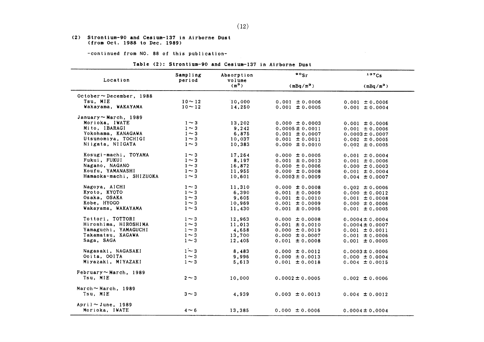#### (2) Strontium-90 and Cesium-137 in Airborne Dust (from Oct. 1988 to Dec. 1989)

-continued from NO. 88 of this publication-

| Location                       | Sampling<br>period | Absorption<br>volume | $\cdot \cdot$       | 137C5               |
|--------------------------------|--------------------|----------------------|---------------------|---------------------|
|                                |                    | $(m^3)$              | $(mBq/m^3)$         | $(mBq/m^3)$         |
| $October \sim December$ , 1988 |                    |                      |                     |                     |
| Tsu, MIE                       | $10 - 12$          | 10,000               | $0.001 \pm 0.0006$  | $0.001 \pm 0.0006$  |
| Wakayama, WAKAYAMA             | $10 - 12$          | 14,250               | $0.001 \pm 0.0005$  | $0.001 \pm 0.0004$  |
| January ~ March, 1989          |                    |                      |                     |                     |
| Morioka, IWATE                 | $1 \sim 3$         | 13,202               | $0.000 \pm 0.0003$  | $0.001 \pm 0.0006$  |
| Mito, IBARAGI                  | $1 \sim 3$         | 9,242                | $0.0005 \pm 0.0011$ | $0.001 \pm 0.0006$  |
| Yokohama. KANAGAWA             | $1\sim3$           | 6,875                | $0.001 \pm 0.0007$  | $0.0003 \pm 0.0007$ |
| Utsunomiya, TOCHIGI            | $1 \sim 3$         | 10,037               | $0.001 \pm 0.0011$  | $0.002 \pm 0.0005$  |
| Niigata, NIIGATA               | $1 \sim 3$         | 10,383               | $0.000 \pm 0.0010$  | $0.002 \pm 0.0005$  |
| Kosugi-machi, TOYAMA           | $1 \sim 3$         | 17,264               | $0.000 \pm 0.0005$  | $0.001 \pm 0.0004$  |
| Fukui, FUKUI                   | $1 \sim 3$         | 8,197                | $0.001 \pm 0.0013$  | $0.001 \pm 0.0006$  |
| Nagano, NAGANO                 | $1 \sim 3$         | 16,872               | $0.000 \pm 0.0006$  | $0.000 \pm 0.0003$  |
| Koufu, YAMANASHI               | $1 \sim 3$         | 11,955               | $0.000 \pm 0.0008$  | $0.001 \pm 0.0004$  |
| Hamaoka-machi, SHIZUOKA        | $1 \sim 3$         | 10,601               | $0.0003 \pm 0.0009$ | $0.004 \pm 0.0007$  |
| Nagoya, AICHI                  | $1 \sim 3$         | 11,310               | $0.000 \pm 0.0008$  | $0.002 \pm 0.0006$  |
| Kyoto, KYOTO                   | $1 \sim 3$         | 6,390                | $0.001 \pm 0.0009$  | $0.000 \pm 0.0012$  |
| Osaka, OSAKA                   | $1 \sim 3$         | 9,605                | $0.001 \pm 0.0010$  | $0.001 \pm 0.0008$  |
| Kobe, HYOGO                    | $1 \sim 3$         | 10,969               | $0.001 \pm 0.0009$  | $0.000 \pm 0.0006$  |
| Wakayama, WAKAYAMA             | $1 \sim 3$         | 11,430               | $0.001 \pm 0.0005$  | $0.001 \pm 0.0005$  |
| Tottori, TOTTORI               | $1 \sim 3$         | 12,963               | $0.000 \pm 0.0008$  | $0.0004 \pm 0.0004$ |
| Hiroshima, HIROSHIMA           | $1 \sim 3$         | 11,013               | $0.001 \pm 0.0010$  | $0.0004 \pm 0.0007$ |
| Yamaguchi, YAMAGUCHI           | $1 \sim 3$         | 4,658                | $0.000 \pm 0.0019$  |                     |
| Takamatsu, KAGAWA              | $1 \sim 3$         | 13,700               | $0.000 \pm 0.0007$  | $0.001 \pm 0.0011$  |
| Saga, SAGA                     | $1 \sim 3$         |                      |                     | $0.001 \pm 0.0006$  |
|                                |                    | 12,405               | $0.001 \pm 0.0008$  | $0.001 \pm 0.0005$  |
| Nagasaki, NAGASAKI             | $1\sim 3$          | 8,483                | $0.000 \pm 0.0012$  | $0.0003 \pm 0.0006$ |
| Ocita, COITA                   | $1 \sim 3$         | 9,996                | $0.000 \pm 0.0013$  | $0.000 \pm 0.0004$  |
| Miyazaki, MIYAZAKI             | $1 \sim 3$         | 5,613                | $0.001 \pm 0.0018$  | $0.004 \pm 0.0015$  |
| February $\sim$ March, 1989    |                    |                      |                     |                     |
| Tsu, MIE                       | $2 \sim 3$         | 10,000               | $0.0002 \pm 0.0005$ | $0.002 \pm 0.0006$  |
| March $\sim$ March, 1989       |                    |                      |                     |                     |
| Tsu, MIE                       | $3 \sim 3$         | 4,939                | $0.003 \pm 0.0013$  | $0.004 \pm 0.0012$  |
| $April ~$ June, 1989           |                    |                      |                     |                     |
| Morioka. IWATE                 | $4 \sim 6$         | 13.385               | $0.000 \pm 0.0006$  | $0.0004 \pm 0.0004$ |

Table (2): Strontium-90 and Cesium-137 in Airborne Dust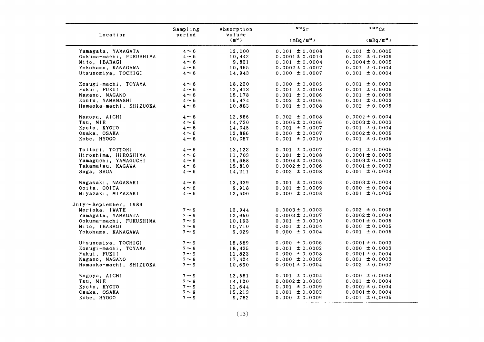|                         | Sampling   | Absorption        | $\bullet\circ_{\mathsf{Sr}}$ | 137Cs               |
|-------------------------|------------|-------------------|------------------------------|---------------------|
| Location                | period     | volume<br>$(m^3)$ | $(mBq/m^3)$                  | $(mBq/m^3)$         |
| Yamagata, YAMAGATA      | $4 \sim 6$ | 12,000            | $0.001 \pm 0.0008$           | $0.001 \pm 0.0005$  |
| Ookuma-machi, FUKUSHIMA | $4 \sim 6$ | 10,442            | $0.0001 \pm 0.0010$          | $0.002 \pm 0.0006$  |
| Mito, IBARAGI           | $4 \sim 6$ | 9,831             | $0.001 \pm 0.0004$           | $0.0004 \pm 0.0005$ |
| Yokohama, KANAGAWA      | $4 \sim 6$ | 10,955            | $0.0002 \pm 0.0007$          | $0.001 \pm 0.0004$  |
| Utsunomiya, TOCHIGI     | $4 \sim 6$ | 14,943            | $0.000 \pm 0.0007$           | $0.001 \pm 0.0004$  |
| Kosugi-machi, TOYAMA    | $4 \sim 6$ | 18,230            | $0.000 \pm 0.0005$           | $0.001 \pm 0.0003$  |
| Fukui, FUKUI            | $4 \sim 6$ | 12.413            | $0.001 \pm 0.0008$           | $0.001 \pm 0.0005$  |
| Nagano, NAGANO          | $4 \sim 6$ | 15,178            | $0.001 \pm 0.0006$           | $0.001 \pm 0.0006$  |
| Koufu, YAMANASHI        | $4 \sim 6$ | 16,474            | $0.002 \pm 0.0006$           | $0.001 \pm 0.0003$  |
| Hamaoka-machi, SHIZUOKA | $4 \sim 6$ | 10,883            | $0.001 \pm 0.0008$           | $0.002 \pm 0.0005$  |
| Nagoya, AICHI           | $4 \sim 6$ | 12,566            | $0.002 \pm 0.0008$           | $0.0002 \pm 0.0004$ |
| Tsu, MIE                | $4 \sim 6$ | 14,730            | $0.0005 \pm 0.0006$          | $0.0003 \pm 0.0003$ |
| Kyoto, KYOTO            | $4 \sim 6$ | 14,045            | $0.001 \pm 0.0007$           | $0.001 \pm 0.0004$  |
| Osaka, OSAKA            | $4 \sim 6$ | 12,886            | $0.000 \pm 0.0007$           | $0.0002 \pm 0.0005$ |
| Kobe, HYOGO             | $4 \sim 6$ | 10,057            | $0.001 \pm 0.0010$           | $0.001 \pm 0.0005$  |
| Tottori, TOTTORI        | $4 \sim 6$ | 13,123            | $0.001 \pm 0.0007$           | $0.001 \pm 0.0005$  |
| Hiroshima, HIROSHIMA    | $4 \sim 6$ | 11,703            | $0.001 \pm 0.0008$           | $0.0001 \pm 0.0005$ |
| Yamaguchi, YAMAGUCHI    | $4 \sim 6$ | 19,688            | $0.0004 \pm 0.0005$          | $0.0003 \pm 0.0002$ |
| Takamatsu, KAGAWA       | $4 \sim 6$ | 15,810            | $0.0002 \pm 0.0006$          | $0.0001 \pm 0.0003$ |
| Saga, SAGA              | $4 \sim 6$ | 14,211            | $0.002 \pm 0.0008$           | $0.001 \pm 0.0004$  |
| Nagasaki, NAGASAKI      | $4 \sim 6$ | 13,339            | $0.001 \pm 0.0008$           | $0.0003 \pm 0.0004$ |
| Ooita, OOITA            | $4 \sim 6$ | 9,918             | $0.001 \pm 0.0009$           | $0.000 \pm 0.0004$  |
| Miyazaki, MIYAZAKI      | $4 \sim 6$ | 12,600            | $0.000 \pm 0.0008$           | $0.001 \pm 0.0005$  |
| July~September, 1989    |            |                   |                              |                     |
| Morioka, IWATE          | $7 \sim 9$ | 13,944            | $0.0003 \pm 0.0003$          | $0.002 \pm 0.0005$  |
| Yamagata, YAMAGATA      | $7 \sim 9$ | 12,960            | $0.0003 \pm 0.0007$          | $0.0002 \pm 0.0004$ |
| Ookuma-machi, FUKUSHIMA | $7 \sim 9$ | 10,193            | $0.001 \pm 0.0010$           | $0.0001 \pm 0.0005$ |
| Mito, IBARAGI           | $7 \sim 9$ | 10,710            | $0.001 \pm 0.0004$           | $0.000 \pm 0.0005$  |
| Yokohama, KANAGAWA      | $7 \sim 9$ | 9,029             | $0.000 \pm 0.0004$           | $0.001 \pm 0.0005$  |
| Utsunomiya, TOCHIGI     | $7 \sim 9$ | 15,589            | $0.000 \pm 0.0006$           | $0.0001 \pm 0.0003$ |
| Kosugi-machi, TOYAMA    | $7 \sim 9$ | 18,435            | $0.001 \pm 0.0002$           | $0.000 \pm 0.0003$  |
| Fukui, FUKUI            | $7 \sim 9$ | 11,823            | $0.000 \pm 0.0008$           | $0.0001 \pm 0.0004$ |
| Nagano, NAGANO          | $7 \sim 9$ | 17.424            | $0.000 \pm 0.0002$           | $0.001 \pm 0.0003$  |
| Hamaoka-machi, SHIZUOKA | $7 \sim 9$ | 10,690            | $0.0001 \pm 0.0004$          | $0.002 \pm 0.0007$  |
| Nagoya, AICHI           | $7 \sim 9$ | 12,561            | $0.001 \pm 0.0004$           | $0.000 \pm 0.0004$  |
| Tsu, MIE                | $7 \sim 9$ | 14,120            | $0.0002 \pm 0.0003$          | $0.001 \pm 0.0004$  |
| Kyoto, KYOTO            | $7 \sim 9$ | 11,644            | $0.001 \pm 0.0009$           | $0.0002 \pm 0.0004$ |
| Osaka, OSAKA            | $7 \sim 9$ | 15,213            | $0.001 \pm 0.0003$           | $0.0001 \pm 0.0004$ |
|                         |            |                   | $0.000 \pm 0.0009$           | $0.001 \pm 0.0005$  |

 $\sim 10^7$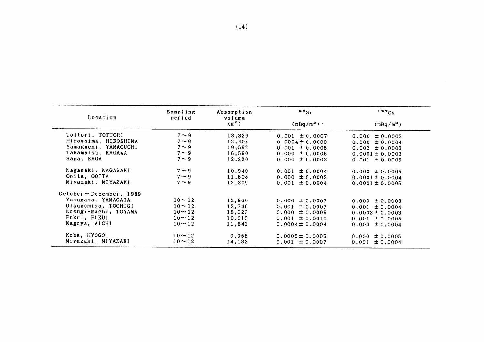| Location                      | Sampling<br>period | Absorption<br>volume | $\frac{80}{5}$      | 137Cs               |
|-------------------------------|--------------------|----------------------|---------------------|---------------------|
|                               |                    | $(m^3)$              | $(mBq/m^3)$ .       | $(mBq/m^3)$         |
| Tottori, TOTTORI              | $7 \sim 9$         | 13,329               | $0.001 \pm 0.0007$  | $0.000 \pm 0.0003$  |
| Hiroshima, HIROSHIMA          | $7 \sim 9$         | 12,404               | $0.0004 \pm 0.0003$ | $0.000 \pm 0.0004$  |
| Yamaguchi, YAMAGUCHI          | $7 \sim 9$         | 19.592               | $0.001 \pm 0.0005$  | $0.002 \pm 0.0003$  |
| Takamatsu, KAGAWA             | $7 \sim 9$         | 16,590               | $0.000 \pm 0.0005$  | $0.0001 \pm 0.0003$ |
| Saga, SAGA                    | $7 \sim 9$         | 12,220               | $0.000 \pm 0.0003$  | $0.001 \pm 0.0005$  |
| Nagasaki, NAGASAKI            | $7 \sim 9$         | 10,940               | $0.001 \pm 0.0004$  | $0.000 \pm 0.0005$  |
| Ooita, OOITA                  | $7 \sim 9$         | 11,608               | $0.000 \pm 0.0003$  | $0.0001 \pm 0.0004$ |
| Miyazaki, MIYAZAKI            | $7 \sim 9$         | 12,309               | $0.001 \pm 0.0004$  | $0.0001 \pm 0.0005$ |
| $October \sim December.$ 1989 |                    |                      |                     |                     |
| Yamagata, YAMAGATA            | $10 - 12$          | 12,960               | $0.000 \pm 0.0007$  | $0.000 \pm 0.0003$  |
| Utsunomiya, TOCHIGI           | $10 \sim 12$       | 13,746               | $0.001 \pm 0.0007$  | $0.001 \pm 0.0004$  |
| Kosugi-machi, TOYAMA          | $10 - 12$          | 18,323               | $0.000 \pm 0.0005$  | $0.0003 \pm 0.0003$ |
| Fukui, FUKUI                  | $10 \sim 12$       | 10,013               | $0.001 \pm 0.0010$  | $0.001 \pm 0.0005$  |
| Nagoya, AICHI                 | $10 - 12$          | 11,842               | $0.0004 \pm 0.0004$ | $0.000 \pm 0.0004$  |
| Kobe, HYOGO                   | $10 \sim 12$       | 9,955                | $0.0005 \pm 0.0005$ | $0.000 \pm 0.0005$  |
| Miyazaki, MIYAZAKI            | $10 \sim 12$       | 14,132               | $0.001 \pm 0.0007$  | 0.001<br>± 0.0004   |

 $\sim 10^{11}$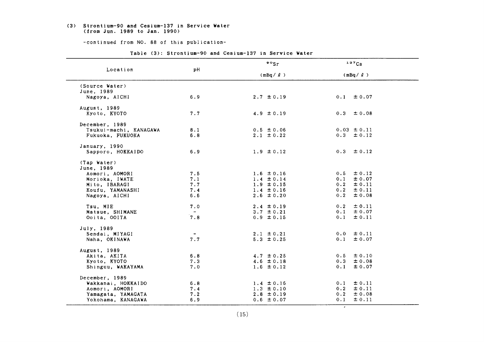#### (3) Strontium-90 and Cesium-137 in Service Water (from Jun. 1989 to Jan. 1990)

-continued from NO. 88 of this publication-

|                        |        | $\frac{80}{5}$ | 137Cs             |
|------------------------|--------|----------------|-------------------|
| Location               | рH     | $(mBq / \ell)$ | $(mBq / \ell)$    |
| (Source Water)         |        |                |                   |
| June, 1989             |        |                |                   |
| Nagoya, AICHI          | 6.9    | $2.7 \pm 0.19$ | $0.1 \pm 0.07$    |
| August, 1989           |        |                |                   |
| Kyoto, KYOTO           | 7.7    | 4.9 $\pm$ 0.19 | $0.3 \pm 0.08$    |
| December, 1989         |        |                |                   |
| Tsukui-machi, KANAGAWA | 8.1    | $0.5 \pm 0.06$ | $0.03 \pm 0.11$   |
| Fukuoka, FUKUOKA       | 6.8    | $2.1 \pm 0.22$ | $0.3 \pm 0.12$    |
| January, 1990          |        |                |                   |
| Sapporo, HOKKAIDO      | 6.9    | $1.9 \pm 0.12$ | $0.3 \pm 0.12$    |
| (Tap Water)            |        |                |                   |
| June, 1989             |        |                |                   |
| Aomori, AOMORI         | 7.5    | $1.6 \pm 0.16$ | $0.5 \pm 0.12$    |
| Morioka, IWATE         | 7.1    | $1.4 \pm 0.14$ | $0.1 \pm 0.07$    |
| Mito, IBARAGI          | 7.7    | $1.9 \pm 0.15$ | $0.2 \pm 0.11$    |
| Koufu, YAMANASHI       | 7.4    | $1.4 \pm 0.16$ | $0.2 \pm 0.11$    |
| Nagoya, AICHI          | 6.6    | $2.6 \pm 0.20$ | $\pm 0.08$<br>0.2 |
| Tsu. MIE               | 7.0    | $2.4 \pm 0.19$ | $0.2 \pm 0.11$    |
| Matsue, SHIMANE        | $\sim$ | $3.7 \pm 0.21$ | $0.1 \pm 0.07$    |
| Ooita, OOITA           | 7.8    | $0.9 \pm 0.15$ | 0.1<br>$\pm$ 0.11 |
| July, 1989             |        |                |                   |
| Sendai, MIYAGI         |        | $2.1 \pm 0.21$ | $0.0 \pm 0.11$    |
| Naha, OKINAWA          | 7.7    | $5.3 \pm 0.25$ | $\pm 0.07$<br>0.1 |
| August, 1989           |        |                |                   |
| Akita, AKITA           | 6.8    | $4.7 \pm 0.25$ | $0.5 \pm 0.10$    |
| Kyoto, KYOTO           | 7.3    | 4.6 $\pm$ 0.18 | 0.3<br>$\pm 0.08$ |
| Shinguu, WAKAYAMA      | 7.0    | $1.6 \pm 0.12$ | 0.1<br>± 0.07     |
| December, 1989         |        |                |                   |
| Wakkanai, HOKKAIDO     | 6.8    | $1.4 \pm 0.16$ | 0.1<br>$\pm 0.11$ |
| Aomori, AOMORI         | 7.4    | $1.3 \pm 0.10$ | $0.2 \pm 0.11$    |
| Yamagata, YAMAGATA     | 7.2    | $2.8 \pm 0.19$ | $\pm 0.08$<br>0.2 |
| Yokohama, KANAGAWA     | 6.9    | $0.6 \pm 0.07$ | 0.1<br>± 0.11     |

#### Table (3): Strontium-90 and Cesium-137 in Service Water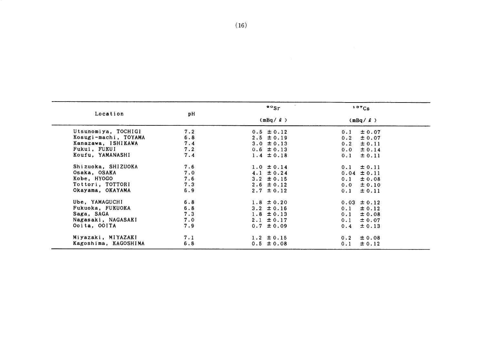|                      |     | $\cdot$ $\cdot$ | 137Cs             |
|----------------------|-----|-----------------|-------------------|
| Location             | pH  | $(mBq / \ell)$  | $(mBq / \ell)$    |
| Utsunomiya, TOCHIGI  | 7.2 | $0.5 \pm 0.12$  | ± 0.07<br>0.1     |
| Kosugi-machi, TOYAMA | 6.8 | $2.5 \pm 0.19$  | $\pm 0.07$<br>0.2 |
| Kanazawa, ISHIKAWA   | 7.4 | $3.0 \pm 0.13$  | $\pm 0.11$<br>0.2 |
| Fukui, FUKUI         | 7.2 | $0.6 \pm 0.13$  | ± 0.14<br>0.0     |
| Koufu, YAMANASHI     | 7.4 | $1.4 \pm 0.18$  | $\pm$ 0.11<br>0.1 |
| Shizuoka, SHIZUOKA   | 7.6 | $1.0 \pm 0.14$  | $\pm$ 0.11<br>0.1 |
| Osaka, OSAKA         | 7.0 | $4.1 \pm 0.24$  | $0.04 \pm 0.11$   |
| Kobe, HYOGO          | 7.6 | $3.2 \pm 0.15$  | 0.1<br>$\pm 0.08$ |
| Tottori, TOTTORI     | 7.3 | $2.6 \pm 0.12$  | $\pm 0.10$<br>0.0 |
| Okayama, OKAYAMA     | 6.9 | $2.7 \pm 0.12$  | $\pm$ 0.11<br>0.1 |
| Ube, YAMAGUCHI       | 6.8 | $1.8 \pm 0.20$  | $0.03 \pm 0.12$   |
| Fukuoka, FUKUOKA     | 6.8 | $3.2 \pm 0.16$  | $\pm 0.12$<br>0.1 |
| Saga, SAGA           | 7.3 | $1.8 \pm 0.13$  | ± 0.08<br>0.1     |
| Nagasaki, NAGASAKI   | 7.0 | $2.1 \pm 0.17$  | $\pm 0.07$<br>0.1 |
| Ooita, OOITA         | 7.9 | $0.7 \pm 0.09$  | $\pm$ 0.13<br>0.4 |
| Miyazaki, MIYAZAKI   | 7.1 | $1.2 \pm 0.15$  | $\pm 0.08$<br>0.2 |
| Kagoshima, KAGOSHIMA | 6.8 | $0.5 \pm 0.08$  | ± 0.12<br>0.1     |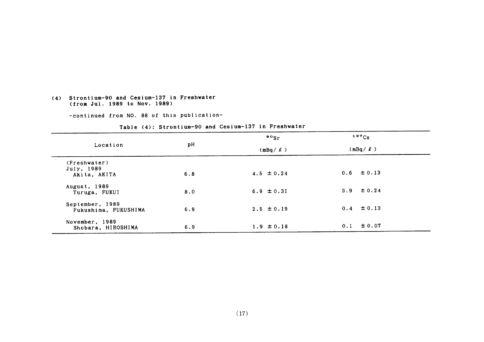#### (4) Strontium-90 and Cesium-137 in Freshwater (from Jul. 1989 to Nov. 1989)

-continued from NO. 88 of this publication-

|                                            |     | $\frac{80}{5}$ | 137C <sub>S</sub> |  |
|--------------------------------------------|-----|----------------|-------------------|--|
| Location                                   | рH  | $(mBq / \ell)$ | $(mBq / \ell)$    |  |
| (Freshwater)<br>July, 1989<br>Akita, AKITA | 6.8 | $4.5 \pm 0.24$ | $0.6 \pm 0.13$    |  |
| August, 1989<br>Turuga, FUKUI              | 8.0 | $6.9 \pm 0.31$ | 3.9 $\pm 0.24$    |  |
| September, 1989<br>Fukushima, FUKUSHIMA    | 6.9 | $2.5 \pm 0.19$ | $0.4 \pm 0.13$    |  |
| November, 1989<br>Shobara, HIROSHIMA       | 6.9 | $1.9 \pm 0.18$ | ± 0.07<br>0.1     |  |

#### Table (4): Strontium-90 and Cesium-137 in Freshwater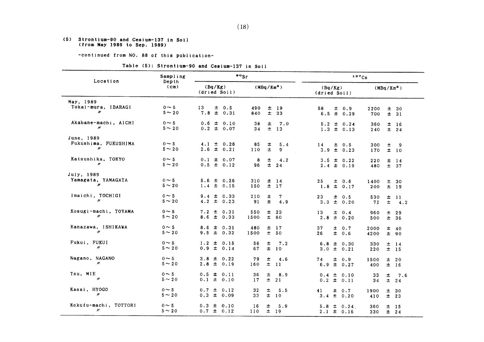#### (5) Strontium-90 and Cesium-137 in Soil (from H8y1989 to Sep.1989)

-continued from NO. 88 of this publication-

### Table (5): Strontium-90 and Cesium-137 in Soil

|                                                  | $\cdot$ $\cdot$ sr<br>Sampling<br>Location<br>Depth |                                   |                                                                       | 137Cs                                |                                             |
|--------------------------------------------------|-----------------------------------------------------|-----------------------------------|-----------------------------------------------------------------------|--------------------------------------|---------------------------------------------|
|                                                  | (cm)                                                | (Bq/Kg)<br>(dried Soil)           | (MBq/Km <sup>2</sup> )                                                | (Bq/Kg)<br>(dried Soil)              | (MBq/Km <sup>2</sup> )                      |
| May, 1989<br>Tokai-mura, IBARAGI<br>"            | $0 \sim 5$<br>$5 \sim 20$                           | 13<br>$\pm$ 0.5<br>$7.8 \pm 0.31$ | 490<br>$\pm$<br>19<br>840<br>33                                       | 58<br>$\pm$ 0.9<br>$\pm$ 0.29<br>6.5 | 2200<br>士<br>30<br>700<br>±.<br>31          |
| Akabane-machi, AICHI<br>$\mathbf{m}$             | $0 \sim 5$<br>$5 \sim 20$                           | $0.6 \pm 0.10$<br>$0.2 \pm 0.07$  | 38<br>士<br>7.0<br>$\pm$<br>34<br>13                                   | $5.2 \pm 0.24$<br>$1.3 \pm 0.13$     | 360<br>±<br><b>16</b><br>$\pm$<br>240<br>24 |
| June, 1989<br>Fukushima, FUKUSHIMA<br>n          | $0 \sim 5$<br>$5 \sim 20$                           | $4.1 \pm 0.26$<br>$2.6 \pm 0.21$  | 85<br>±<br>5.4<br>$\pm$<br>110<br>9.                                  | 14<br>$\pm$ 0.5<br>$3.9 \pm 0.23$    | 300<br>±<br>- 9<br>士<br>170<br>10           |
| Katsushika, TOKYO<br>$\prime\prime$              | $0 \sim 5$<br>$5 - 20$                              | $0.1 \pm 0.07$<br>$0.5 \pm 0.12$  | $\bf{8}$<br>$\pm$<br>4.2<br>$\pm$<br>96<br>24                         | $3.5 \pm 0.22$<br>$2.4 \pm 0.19$     | 220<br>士<br>14<br>± 37<br>480               |
| July, 1989<br>Yamagata, YAMAGATA<br>$\mathbf{w}$ | $0 \sim 5$<br>$5 \sim 20$                           | $5.6 \pm 0.26$<br>$1.4 \pm 0.15$  | 310<br>$\begin{array}{ccc}\n\pm & 14 \\ \pm & 17\n\end{array}$<br>150 | 25<br>$\pm$ 0.6<br>$1.8 \pm$<br>0.17 | 1400<br>士<br>- 30<br>200<br>$\pm$<br>19     |
| Imaichi, TOCHIGI<br>$\prime\prime$               | $0 \sim 5$<br>$5 \sim 20$                           | $9.4 \pm 0.33$<br>4.2 $\pm$ 0.23  | 210<br>7<br>±.<br>$\pm$<br>91<br>4.9                                  | 23<br>$\pm$ 0.5<br>$\pm$ 0.20<br>3.3 | ±.<br>530<br>-11<br>士<br>72<br>4.2          |
| Kosugi-machi, TOYAMA<br>$\prime\prime$           | $0 \sim 5$<br>$5 \sim 20$                           | $7.2 \pm 0.31$<br>$8.6 \pm 0.33$  | $\pm$<br>550<br>23<br>± 60<br>1500                                    | 13<br>$\pm$<br>0.4<br>$2.8 \pm 0.20$ | $\pm$<br>960<br>29<br>$\pm$<br>500<br>- 36  |
| Kanazawa, ISHIKAWA<br>$\prime\prime$             | $0 \sim 5$<br>$5 \sim 20$                           | $8.6 \pm 0.31$<br>$9.5 \pm 0.32$  | 480<br>±<br>17<br>$\pm$<br>1500<br>50                                 | 37<br>$\pm$ 0.7<br>26<br>± 0.6       | 士<br>2000<br>40<br>4200<br>$\pm$<br>-90     |
| Fukui, FUKUI<br>$^{\prime\prime}$                | $0 \sim 5$<br>$5 - 20$                              | $1.2 \pm 0.15$<br>$0.9 \pm 0.14$  | 56<br>±<br>7.2<br>67<br>$\pm$<br>10                                   | $6.8 \pm 0.30$<br>$3.0 \pm 0.21$     | 330<br>$\pm$<br>14<br>$±$ 15<br>220         |
| Nagano, NAGANO<br>$\prime\prime$                 | $0 \sim 5$<br>$5 \sim 20$                           | $3.8 \pm 0.22$<br>$2.8 \pm 0.19$  | 79<br>士<br>4.6<br>$\pm$<br>160<br>$\overline{11}$                     | $\pm$ 0.9<br>74<br>$\pm$ 0.27<br>6.9 | 1500<br>±.<br>- 20<br>$\pm$<br>400<br>16    |
| Tsu, MIE<br>$^{\prime\prime}$                    | $0 \sim 5$<br>$5 \sim 20$                           | $0.5 \pm 0.11$<br>$0.1 \pm 0.10$  | 36<br>士<br>8.9<br>$\pm$<br>17<br>21                                   | $0.4 \pm 0.10$<br>$0.2 \pm 0.11$     | 33<br>±<br>7.6<br>$\pm$<br>34<br>24         |
| Kasai, HYOGO<br>$\boldsymbol{\prime\prime}$      | $0 \sim 5$<br>$5 \sim 20$                           | $0.7 \pm 0.12$<br>$0.3 \pm 0.09$  | 32<br>$\pm$<br>5.5<br>$\pm$<br>33<br>10                               | 41<br>$\pm$ 0.7<br>$3.4 \pm 0.20$    | 士<br>1900<br>30<br>410<br>$\pm$<br>- 23     |
| Kokufu-machi, TOTTORI<br>$\prime\prime$          | $0 \sim 5$<br>$5 - 20$                              | $0.3 \pm 0.10$<br>$0.7 \pm 0.12$  | ±<br>5.9<br>16<br>$\pm$<br>110<br>19                                  | $5.8 \pm 0.24$<br>$2.1 \pm 0.16$     | ±.<br>360<br>- 15<br>330<br>±.<br>24        |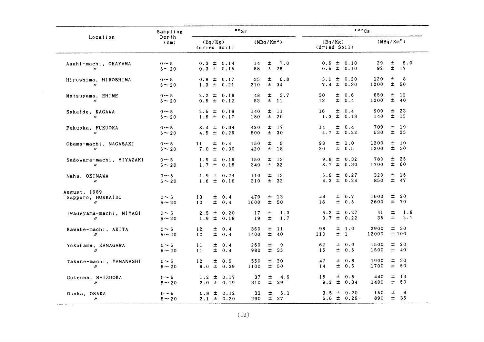|                                                         | Sampling                  | $\frac{80}{5}$                      |                                                   | 137Cs                                  |                                        |
|---------------------------------------------------------|---------------------------|-------------------------------------|---------------------------------------------------|----------------------------------------|----------------------------------------|
| Location                                                | Depth<br>(cm)             | (Bq/Kg)<br>(dried Soil)             | (MBq/Km <sup>2</sup> )                            | (Bq/Kg)<br>(dried Soil)                | $(MBq/Km^2)$                           |
| Asahi-machi, OKAYAMA<br>$\prime\prime$                  | $0 \sim 5$<br>$5 \sim 20$ | $0.3 \pm 0.14$<br>$0.3 \pm 0.15$    | ±.<br>7.0<br>14<br>58<br>士<br>26                  | $0.6 \pm 0.10$<br>$0.5 \pm 0.10$       | 29<br>±.<br>5.0<br>$\pm$<br>92<br>17   |
| Hiroshima, HIROSHIMA<br>$^{\prime\prime}$               | $0 \sim 5$<br>$5 \sim 20$ | $0.9 \pm 0.17$<br>$1.3 \pm 0.21$    | 士<br>6.8<br>35<br>士<br>34<br>210                  | $3.1 \pm 0.20$<br>$7.4 \pm 0.30$       | 土<br>8<br>120<br>Ŧ.<br>50<br>1200      |
| Matsuyama, EHIME<br>$\prime\prime$                      | $0 \sim 5$<br>$5 - 20$    | $2.2 \pm 0.18$<br>$0.5 \pm 0.12$    | 士<br>48<br>3.7<br>$\pm$<br>53<br>$\overline{11}$  | $\pm$ 0.6<br>30<br>$\pm 0.4$<br>13     | 650<br>土<br>12<br>±<br>1200<br>-40     |
| Sakaide, KAGAWA<br>$\prime\prime$                       | $0 \sim 5$<br>$5 - 20$    | $2.5 \pm 0.19$<br>$1.6 \pm 0.17$    | 士<br>140<br>$\overline{11}$<br>$\pm$<br>20<br>180 | $\pm$ 0.4<br>16<br>$1.3 \pm 0.13$      | 900<br>士<br>23<br>$\pm$<br>140<br>15   |
| Fukuoka, FUKUOKA<br>$\mathbf{u}$                        | $0 \sim 5$<br>$5 \sim 20$ | $8.4 \pm 0.34$<br>$4.5 \pm 0.26$    | 420<br>$±$ 17<br>$\pm$<br>30<br>500               | $\pm$ 0.4<br>14<br>$\pm$ 0.22<br>4.7   | 700<br>士<br>19<br>士<br>25<br>530       |
| Obama-machi, NAGASAKI<br>$\prime\prime$                 | $0 \sim 5$<br>$5 - 20$    | $\pm$ 0.4<br>11<br>$7.0 \pm 0.30$   | 士<br>5<br>150<br>420<br>$±$ 18                    | $\pm$ 1.0<br>93<br>$\pm$ 0.5<br>20     | 1200<br>土<br>10<br>士<br>1200<br>30     |
| Sadowara-machi, MIYAZAKI<br>$\boldsymbol{\prime\prime}$ | $0 \sim 5$<br>$5 - 20$    | $1.9 \pm 0.16$<br>$1.7 \pm 0.16$    | $\pm$ 13<br>150<br>$±$ 32<br>340                  | $9.8 \pm 0.32$<br>$8.7 \pm 0.30$       | 土<br>25<br>780<br>±<br>60<br>1700      |
| Naha, OKINAWA<br>$\prime\prime$                         | $0 \sim 5$<br>$5 - 20$    | $1.9 \pm 0.24$<br>$1.6 \pm 0.16$    | 士<br>$\overline{13}$<br>110<br>± 32<br>310        | $5.6 \pm 0.27$<br>$4.3 \pm 0.24$       | 320<br>土<br>15<br>±.<br>850<br>47      |
| August, 1989<br>Sapporo, HOKKAIDO<br>$\mathbf{u}$       | $0 \sim 5$<br>$5 - 20$    | 13<br>$\pm$ 0.4<br>$\pm$ 0.4<br>10  | $\pm$ 13<br>470<br>± 50<br>1600                   | $\pm 0.7$<br>44<br>$\pm$ 0.5<br>16     | 士<br>20<br>1600<br>士<br>2600<br>- 70   |
| Iwadeyama-machi, MIYAGI<br>$\prime\prime$               | $0 \sim 5$<br>$5 - 20$    | $\pm$ 0.20<br>2.5<br>$1.9 \pm 0.18$ | 17<br>士<br>1.3<br>$\pm$<br>1.7<br>19              | $\pm 0.27$<br>6.2<br>$\pm$ 0.22<br>3.7 | 41<br>士<br>1.8<br>35<br>±.<br>2.1      |
| Kawabe-machi, AKITA<br>$\prime\prime$                   | $0 \sim 5$<br>$5 - 20$    | 12<br>$\pm$ 0.4<br>12<br>± 0.4      | 360<br>$±$ 11<br>$\pm$ 40<br>1400                 | $\pm$ 1.0<br>98<br>± 1<br>110          | ± 30<br>2900<br>±100<br>12000          |
| Yokohama, KANAGAWA<br>$\mathbf{u}$                      | $0 \sim 5$<br>$5 \sim 20$ | 11<br>$\pm$ 0.4<br>11<br>$\pm$ 0.4  | 士<br>9<br>260<br>士<br>35<br>980                   | 62<br>士<br>0.9<br>$\pm$ 0.5<br>16      | 士<br>20<br>1500<br>$\pm$<br>40<br>1500 |
| Takane-machi, YAMANASHI<br>$\prime\prime$               | $0 \sim 5$<br>$5 \sim 20$ | 12<br>± 0.5<br>$9.0 \pm 0.39$       | 士<br>20<br>550<br>±.<br>1100<br>50                | 42<br>0.8<br>士<br>士<br>0.5<br>14       | ±<br>- 30<br>1900<br>±.<br>1700<br>50  |
| Gotenba, SHIZUOKA<br>$\boldsymbol{\prime}$              | $0 \sim 5$<br>$5 - 20$    | $1.2 \pm 0.17$<br>$2.0 \pm 0.19$    | 37<br>土<br>4.9<br>$\pm$<br>29<br>310              | $\pm$ 0.5<br>15<br>士<br>0.34<br>9.2    | 士<br>440<br>- 13<br>±.<br>- 50<br>1400 |
| Osaka, OSAKA<br>$\prime\prime$                          | $0 \sim 5$<br>$5 \sim 20$ | $0.8 \pm$<br>0.12<br>$2.1 \pm 0.20$ | 士<br>5.1<br>33<br>$±$ 27<br>290                   | $3.5 \pm$<br>0.20<br>$6.6 \pm 0.26$    | 士<br>9<br>150<br>$\pm$<br>- 36<br>890  |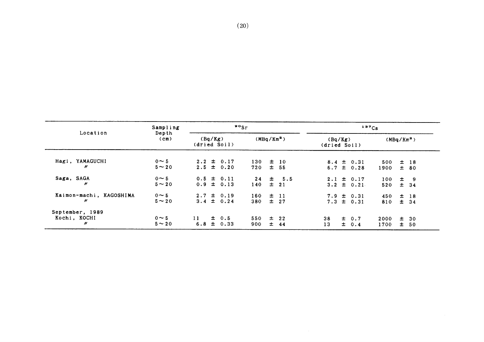|                                      | Sampling                   | $\frac{80}{5}$          |                                  |                        |       | 137C <sub>S</sub>     |                         |  |                                  |                        |    |                    |
|--------------------------------------|----------------------------|-------------------------|----------------------------------|------------------------|-------|-----------------------|-------------------------|--|----------------------------------|------------------------|----|--------------------|
| Location                             | Depth<br>(c <sub>m</sub> ) | (Bq/Kg)<br>(dried Soil) |                                  | (MBq/Km <sup>2</sup> ) |       |                       | (Bq/Kg)<br>(dried Soil) |  |                                  | (MBq/Km <sup>2</sup> ) |    |                    |
| Hagi, YAMAGUCHI<br>n                 | $0 \sim 5$<br>$5 \sim 20$  |                         | $2.2 \pm 0.17$<br>$2.5 \pm 0.20$ | 130<br>720             | 士     | $±$ 10<br>-55         | 6.7                     |  | $8.4 \pm 0.31$<br>$\pm$ 0.28     | 500<br>1900            |    | $±$ 18<br>± 80     |
| Saga, SAGA<br>H                      | $0 \sim 5$<br>$5 \sim 20$  |                         | $0.5 \pm 0.11$<br>$0.9 \pm 0.13$ | 24<br>140              |       | $\pm$ 5.5<br>$\pm$ 21 |                         |  | $2.1 \pm 0.17$<br>$3.2 \pm 0.21$ | 100<br>520             | 士  | $\pm$ 9<br>34      |
| Kaimon-machi, KAGOSHIMA<br>"         | $0 \sim 5$<br>$5 - 20$     |                         | $2.7 \pm 0.19$<br>$3.4 \pm 0.24$ | 160<br>380             |       | $\pm$ 11<br>$\pm$ 27  |                         |  | $7.9 \pm 0.31$<br>$7.3 \pm 0.31$ | 450<br>810             |    | $\pm$ 18<br>$±$ 34 |
| September, 1989<br>Kochi, KOCHI<br>" | $0 \sim 5$<br>$5 \sim 20$  | 11<br>6.8               | $\pm$ 0.5<br>$\pm$ 0.33          | 550<br>900             | $\pm$ | $\pm$ 22<br>-44       | 38<br>13                |  | $\pm$ 0.7<br>$\pm$ 0.4           | 2000<br>1700           | ±. | $\pm$ 30<br>- 50   |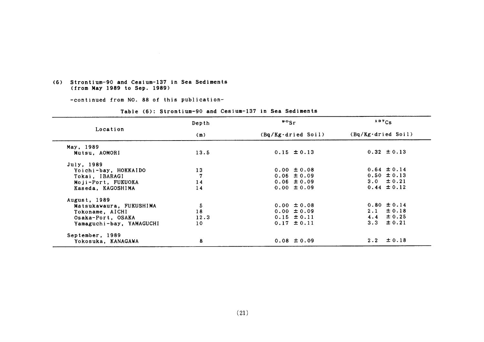#### (6) Strontium-90 and Cesium-137 in Sea Sediments (from May 1989 to Sep. 1989)

-COntinued from NO.88 0f this publication-

|                          | Depth          | $\frac{80}{5}$              | $137C_S$                     |
|--------------------------|----------------|-----------------------------|------------------------------|
| Location                 | (m)            | $(Bq/Kg \cdot d$ ried Soil) | $(Bq/Kg \cdot dr i ed$ Soil) |
| May, 1989                |                |                             |                              |
| Mutsu, AOMORI            | 13.5           | $0.15 \pm 0.13$             | $0.32 \pm 0.13$              |
| July, 1989               |                |                             |                              |
| Yoichi-bay, HOKKAIDO     | 13             | $0.00 \pm 0.08$             | $0.64 \pm 0.14$              |
| Tokai, IBARAGI           | $\overline{7}$ | $0.06 \pm 0.09$             | $0.50 \pm 0.13$              |
| Moji-Port, FUKUOKA       | 14             | $0.06 \pm 0.09$             | $3.0 \pm 0.21$               |
| Kaseda, KAGOSHIMA        | 14             | $0.00 \pm 0.09$             | $0.44 \pm 0.12$              |
| August, 1989             |                |                             |                              |
| Matsukawaura, FUKUSHIMA  | 5              | $0.00 \pm 0.08$             | $0.80 \pm 0.14$              |
| Tokoname, AICHI          | 18             | $0.00 \pm 0.09$             | $2.1 \pm 0.18$               |
| Osaka-Port, OSAKA        | 12.3           | $0.15 \pm 0.11$             | $4.4 \pm 0.25$               |
| Yamaguchi-bay, YAMAGUCHI | 10             | $0.17 \pm 0.11$             | 3.3 $\pm$ 0.21               |
| September, 1989          |                |                             |                              |
| Yokosuka, KANAGAWA       | 8              | $0.08 \pm 0.09$             | $2.2 \pm 0.18$               |

### Table (6): Strontium-90 and Cesium-137 in Sea Sediments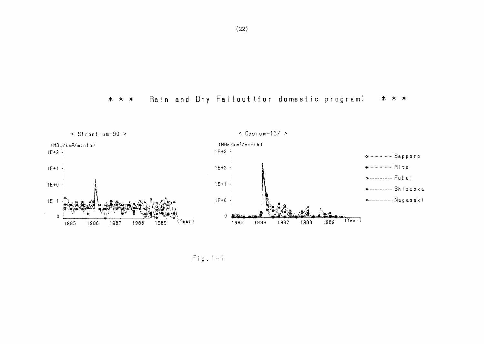



 $Fig. 1-1$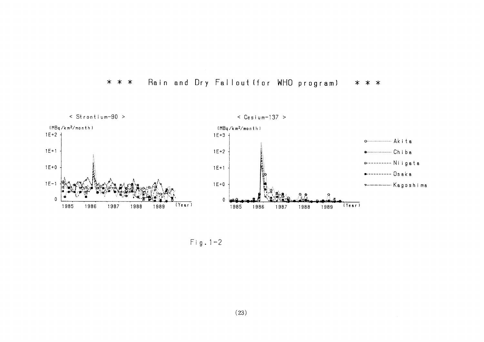



 $Fig. 1-2$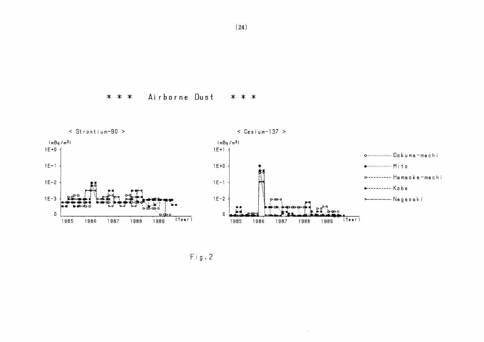#### Airborne Dust  $* * *$ \* \* \*



 $\sim 10^6$ 

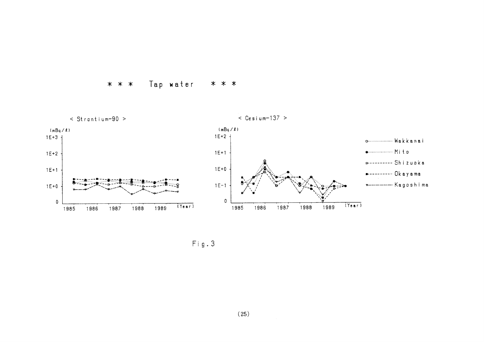



 $Fig. 3$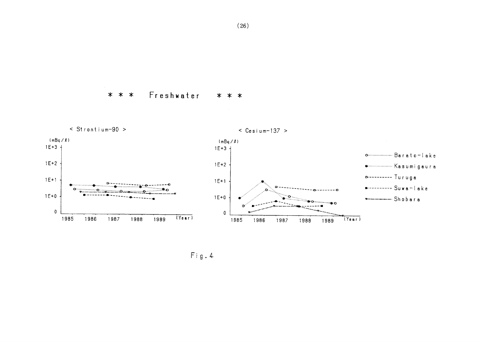#### $* * *$ Freshwater  $* * *$







Fig. 4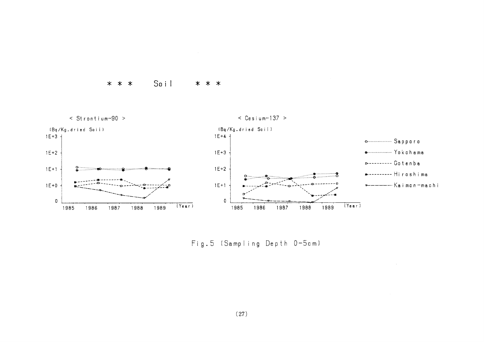## \* \* \* Soil \* \* \*



Fig.5 (Sampling Depth 0-5cm)

 $\sim$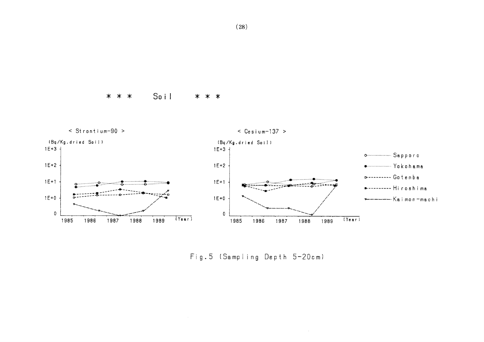Soil  $* * *$ \* \* \*



Fig. 5 (Sampling Depth 5-20cm)

 $\lambda$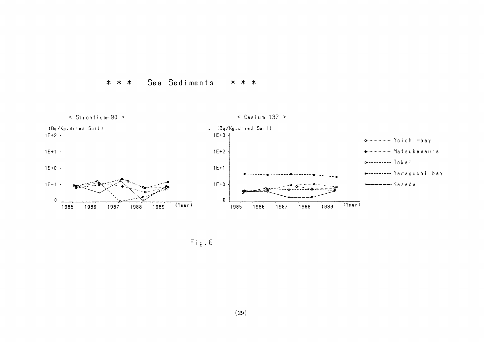



 $Fig. 6$